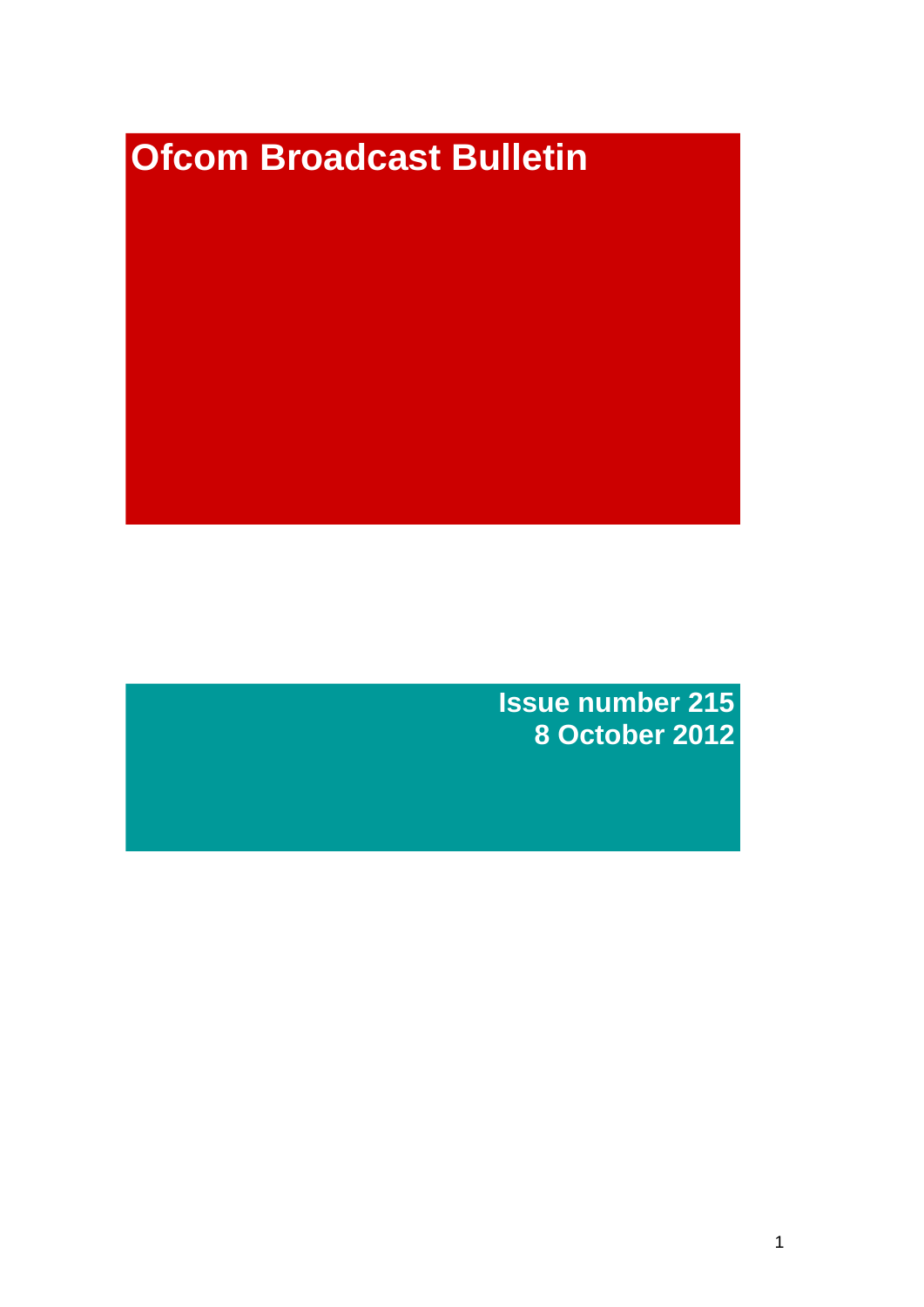# **Ofcom Broadcast Bulletin**

**Issue number 215 8 October 2012**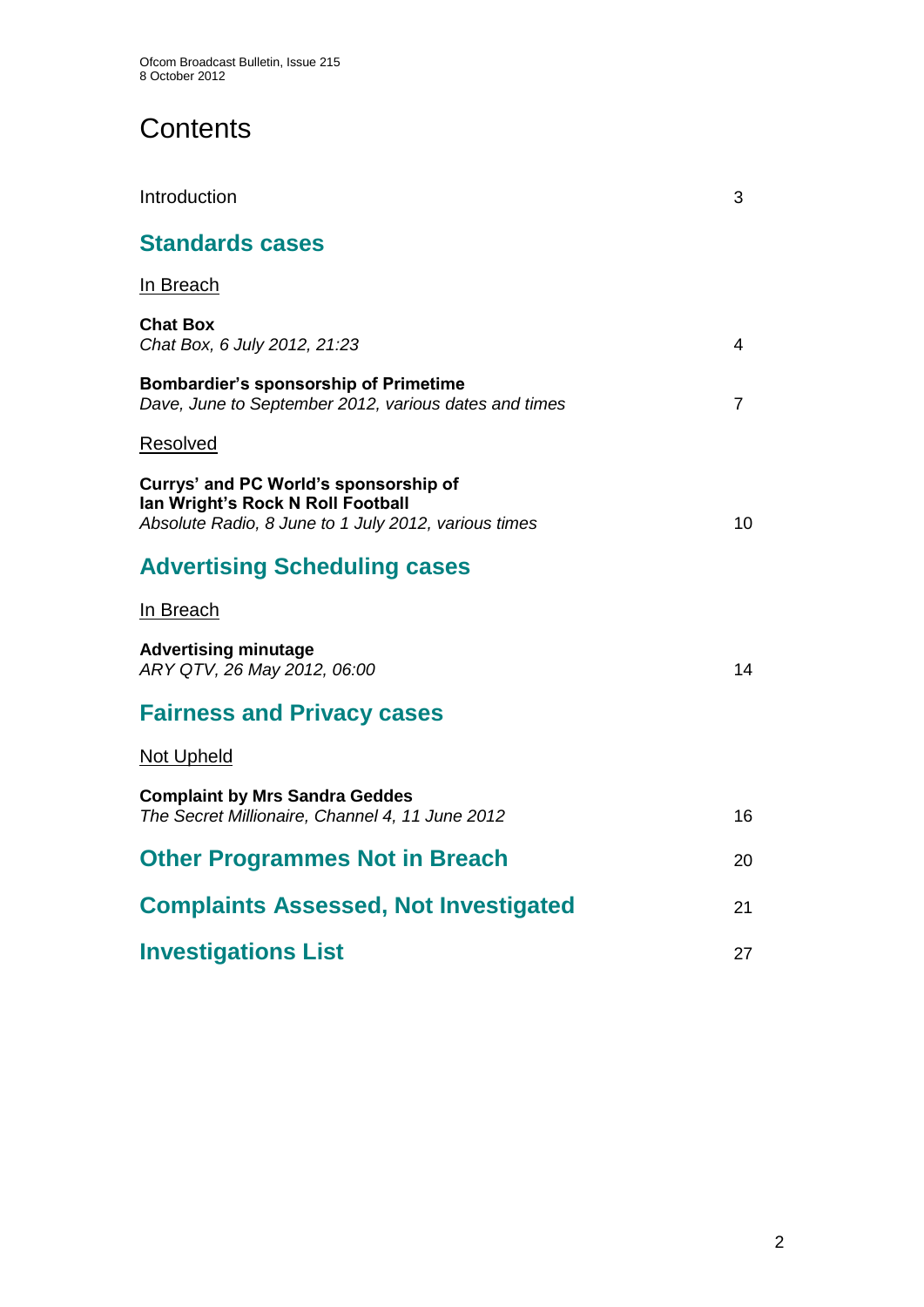# **Contents**

| Introduction                                                                                                                       | 3  |
|------------------------------------------------------------------------------------------------------------------------------------|----|
| <b>Standards cases</b>                                                                                                             |    |
| In Breach                                                                                                                          |    |
| <b>Chat Box</b><br>Chat Box, 6 July 2012, 21:23                                                                                    | 4  |
| <b>Bombardier's sponsorship of Primetime</b><br>Dave, June to September 2012, various dates and times                              | 7  |
| <b>Resolved</b>                                                                                                                    |    |
| Currys' and PC World's sponsorship of<br>Ian Wright's Rock N Roll Football<br>Absolute Radio, 8 June to 1 July 2012, various times | 10 |
| <b>Advertising Scheduling cases</b>                                                                                                |    |
| In Breach                                                                                                                          |    |
| <b>Advertising minutage</b><br>ARY QTV, 26 May 2012, 06:00                                                                         | 14 |
| <b>Fairness and Privacy cases</b>                                                                                                  |    |
| Not Upheld                                                                                                                         |    |
| <b>Complaint by Mrs Sandra Geddes</b><br>The Secret Millionaire, Channel 4, 11 June 2012                                           | 16 |
| <b>Other Programmes Not in Breach</b>                                                                                              | 20 |
| <b>Complaints Assessed, Not Investigated</b>                                                                                       | 21 |
| <b>Investigations List</b>                                                                                                         | 27 |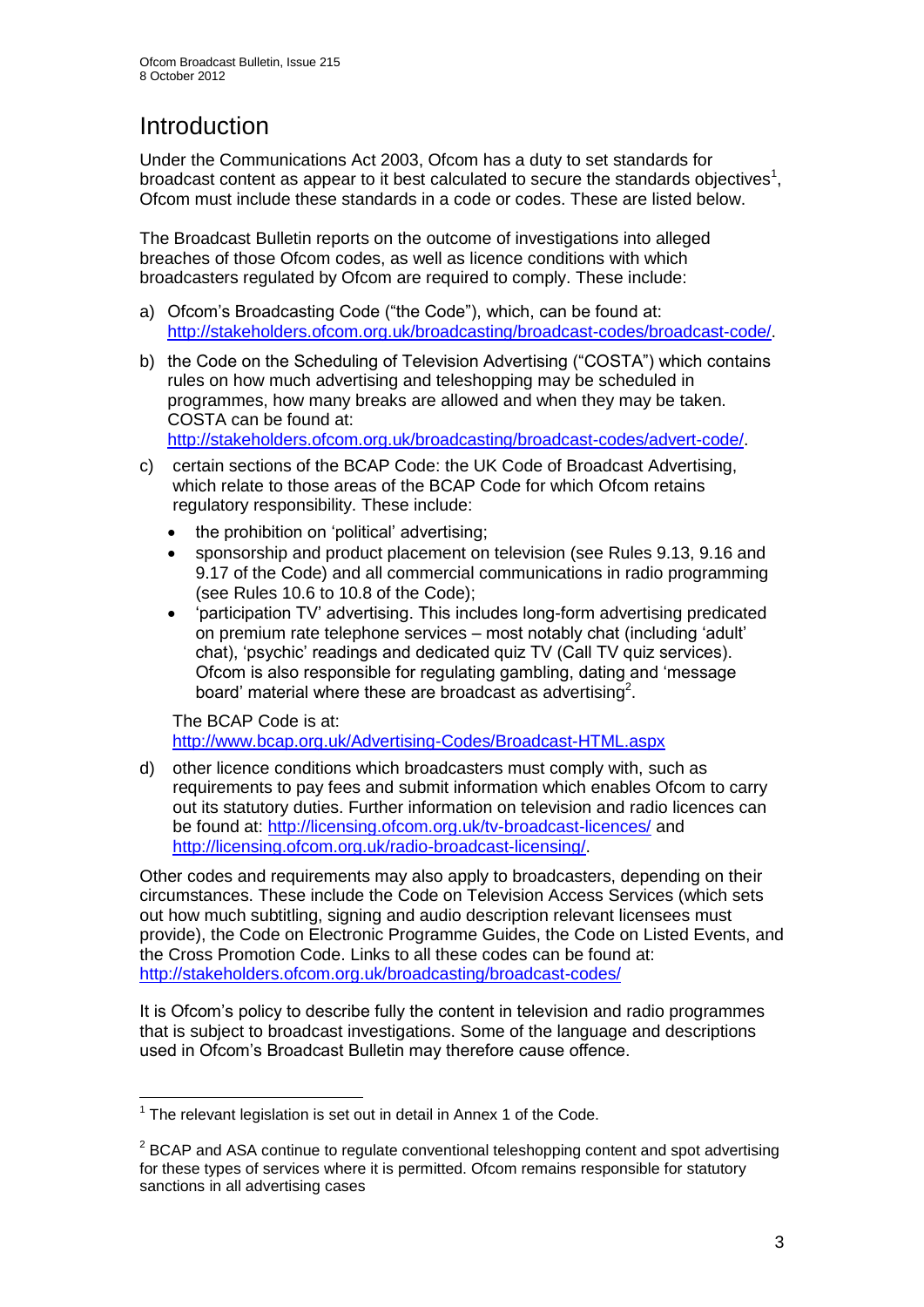# **Introduction**

Under the Communications Act 2003, Ofcom has a duty to set standards for broadcast content as appear to it best calculated to secure the standards objectives<sup>1</sup>, Ofcom must include these standards in a code or codes. These are listed below.

The Broadcast Bulletin reports on the outcome of investigations into alleged breaches of those Ofcom codes, as well as licence conditions with which broadcasters regulated by Ofcom are required to comply. These include:

- a) Ofcom's Broadcasting Code ("the Code"), which, can be found at: [http://stakeholders.ofcom.org.uk/broadcasting/broadcast-codes/broadcast-code/.](http://stakeholders.ofcom.org.uk/broadcasting/broadcast-codes/broadcast-code/)
- b) the Code on the Scheduling of Television Advertising ("COSTA") which contains rules on how much advertising and teleshopping may be scheduled in programmes, how many breaks are allowed and when they may be taken. COSTA can be found at:

[http://stakeholders.ofcom.org.uk/broadcasting/broadcast-codes/advert-code/.](http://stakeholders.ofcom.org.uk/broadcasting/broadcast-codes/advert-code/)

- c) certain sections of the BCAP Code: the UK Code of Broadcast Advertising, which relate to those areas of the BCAP Code for which Ofcom retains regulatory responsibility. These include:
	- the prohibition on 'political' advertising;
	- sponsorship and product placement on television (see Rules 9.13, 9.16 and 9.17 of the Code) and all commercial communications in radio programming (see Rules 10.6 to 10.8 of the Code);
	- 'participation TV' advertising. This includes long-form advertising predicated on premium rate telephone services – most notably chat (including 'adult' chat), 'psychic' readings and dedicated quiz TV (Call TV quiz services). Ofcom is also responsible for regulating gambling, dating and 'message board' material where these are broadcast as advertising<sup>2</sup>.

The BCAP Code is at: <http://www.bcap.org.uk/Advertising-Codes/Broadcast-HTML.aspx>

d) other licence conditions which broadcasters must comply with, such as requirements to pay fees and submit information which enables Ofcom to carry out its statutory duties. Further information on television and radio licences can be found at:<http://licensing.ofcom.org.uk/tv-broadcast-licences/> and [http://licensing.ofcom.org.uk/radio-broadcast-licensing/.](http://licensing.ofcom.org.uk/radio-broadcast-licensing/)

Other codes and requirements may also apply to broadcasters, depending on their circumstances. These include the Code on Television Access Services (which sets out how much subtitling, signing and audio description relevant licensees must provide), the Code on Electronic Programme Guides, the Code on Listed Events, and the Cross Promotion Code. Links to all these codes can be found at: <http://stakeholders.ofcom.org.uk/broadcasting/broadcast-codes/>

It is Ofcom's policy to describe fully the content in television and radio programmes that is subject to broadcast investigations. Some of the language and descriptions used in Ofcom's Broadcast Bulletin may therefore cause offence.

<sup>1</sup>  $1$  The relevant legislation is set out in detail in Annex 1 of the Code.

 $2$  BCAP and ASA continue to regulate conventional teleshopping content and spot advertising for these types of services where it is permitted. Ofcom remains responsible for statutory sanctions in all advertising cases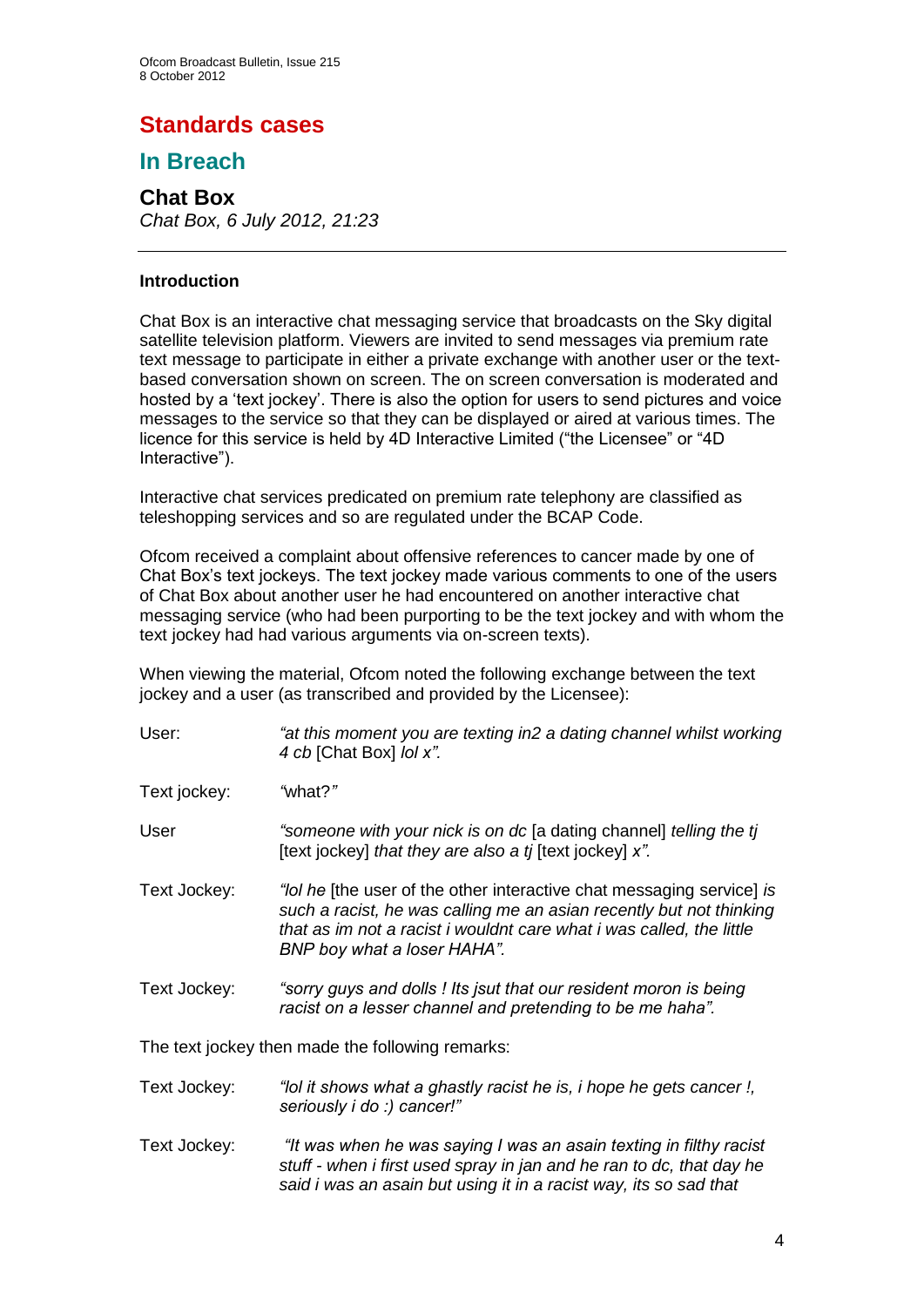# **Standards cases**

## **In Breach**

## **Chat Box** *Chat Box, 6 July 2012, 21:23*

## **Introduction**

Chat Box is an interactive chat messaging service that broadcasts on the Sky digital satellite television platform. Viewers are invited to send messages via premium rate text message to participate in either a private exchange with another user or the textbased conversation shown on screen. The on screen conversation is moderated and hosted by a 'text jockey'. There is also the option for users to send pictures and voice messages to the service so that they can be displayed or aired at various times. The licence for this service is held by 4D Interactive Limited ("the Licensee" or "4D Interactive").

Interactive chat services predicated on premium rate telephony are classified as teleshopping services and so are regulated under the BCAP Code.

Ofcom received a complaint about offensive references to cancer made by one of Chat Box's text jockeys. The text jockey made various comments to one of the users of Chat Box about another user he had encountered on another interactive chat messaging service (who had been purporting to be the text jockey and with whom the text jockey had had various arguments via on-screen texts).

When viewing the material, Ofcom noted the following exchange between the text jockey and a user (as transcribed and provided by the Licensee):

| User:        | "at this moment you are texting in2 a dating channel whilst working<br>4 cb [Chat Box] lol x".                                                                                                                                                      |
|--------------|-----------------------------------------------------------------------------------------------------------------------------------------------------------------------------------------------------------------------------------------------------|
| Text jockey: | "what?"                                                                                                                                                                                                                                             |
| User         | "someone with your nick is on dc [a dating channel] telling the tj<br>[text jockey] that they are also a tj [text jockey] x".                                                                                                                       |
| Text Jockey: | "lol he [the user of the other interactive chat messaging service] is<br>such a racist, he was calling me an asian recently but not thinking<br>that as im not a racist i wouldnt care what i was called, the little<br>BNP boy what a loser HAHA". |
| Text Jockey: | "sorry guys and dolls ! Its jsut that our resident moron is being<br>racist on a lesser channel and pretending to be me haha".                                                                                                                      |
|              | The text jockey then made the following remarks:                                                                                                                                                                                                    |
| Text Jockey: | "lol it shows what a ghastly racist he is, i hope he gets cancer!,<br>seriously i do :) cancer!"                                                                                                                                                    |
| Text Jockey: | "It was when he was saying I was an asain texting in filthy racist<br>stuff - when i first used spray in jan and he ran to dc, that day he                                                                                                          |

*said i was an asain but using it in a racist way, its so sad that*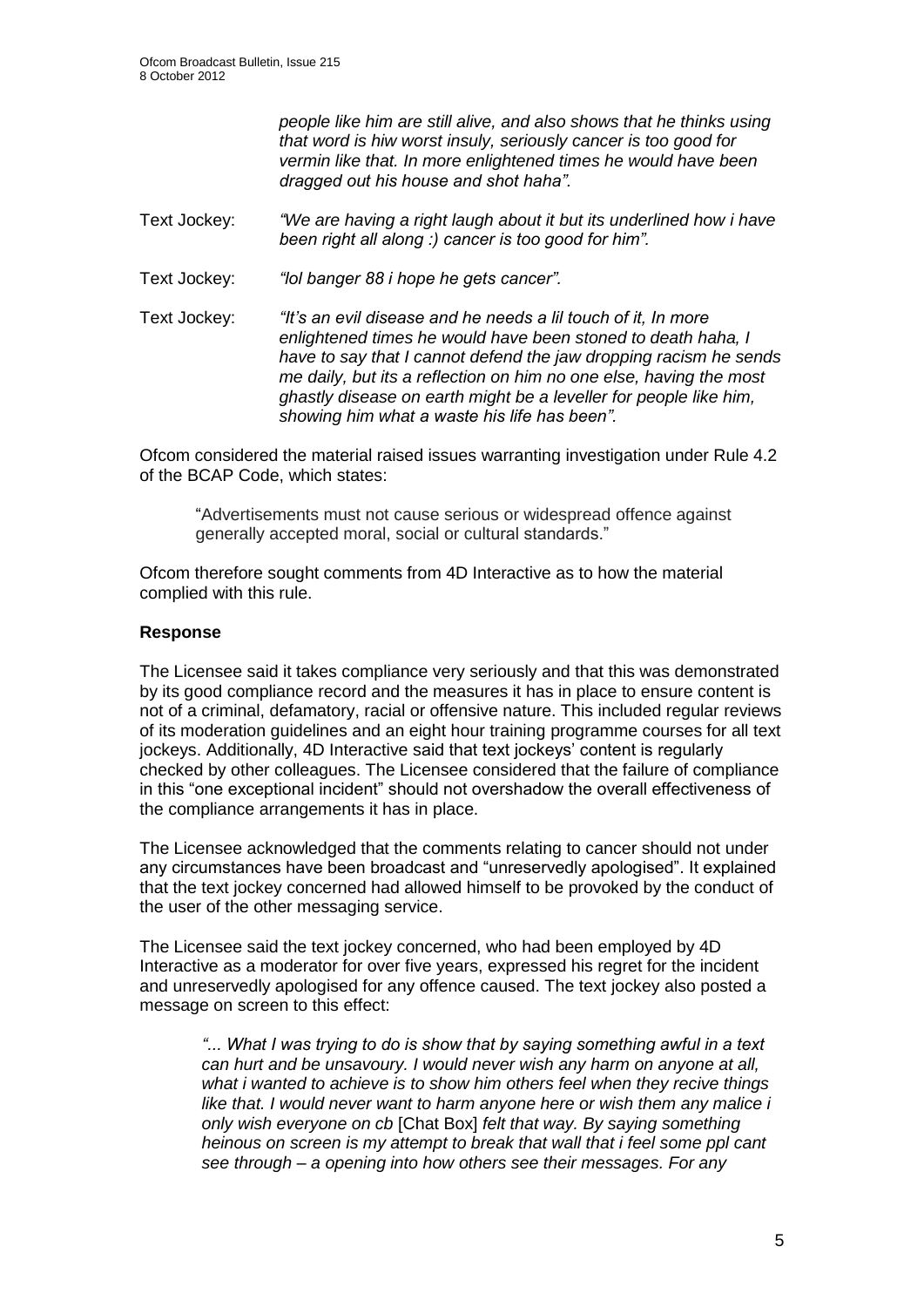*people like him are still alive, and also shows that he thinks using that word is hiw worst insuly, seriously cancer is too good for vermin like that. In more enlightened times he would have been dragged out his house and shot haha".*

- Text Jockey: *"We are having a right laugh about it but its underlined how i have been right all along :) cancer is too good for him".*
- Text Jockey: *"lol banger 88 i hope he gets cancer".*
- Text Jockey: *"It's an evil disease and he needs a lil touch of it, In more enlightened times he would have been stoned to death haha, I have to say that I cannot defend the jaw dropping racism he sends me daily, but its a reflection on him no one else, having the most ghastly disease on earth might be a leveller for people like him, showing him what a waste his life has been".*

Ofcom considered the material raised issues warranting investigation under Rule 4.2 of the BCAP Code, which states:

"Advertisements must not cause serious or widespread offence against generally accepted moral, social or cultural standards."

Ofcom therefore sought comments from 4D Interactive as to how the material complied with this rule.

## **Response**

The Licensee said it takes compliance very seriously and that this was demonstrated by its good compliance record and the measures it has in place to ensure content is not of a criminal, defamatory, racial or offensive nature. This included regular reviews of its moderation guidelines and an eight hour training programme courses for all text jockeys. Additionally, 4D Interactive said that text jockeys' content is regularly checked by other colleagues. The Licensee considered that the failure of compliance in this "one exceptional incident" should not overshadow the overall effectiveness of the compliance arrangements it has in place.

The Licensee acknowledged that the comments relating to cancer should not under any circumstances have been broadcast and "unreservedly apologised". It explained that the text jockey concerned had allowed himself to be provoked by the conduct of the user of the other messaging service.

The Licensee said the text jockey concerned, who had been employed by 4D Interactive as a moderator for over five years, expressed his regret for the incident and unreservedly apologised for any offence caused. The text jockey also posted a message on screen to this effect:

*"... What I was trying to do is show that by saying something awful in a text can hurt and be unsavoury. I would never wish any harm on anyone at all, what i wanted to achieve is to show him others feel when they recive things*  like that. I would never want to harm anyone here or wish them any malice i *only wish everyone on cb* [Chat Box] *felt that way. By saying something heinous on screen is my attempt to break that wall that i feel some ppl cant see through – a opening into how others see their messages. For any*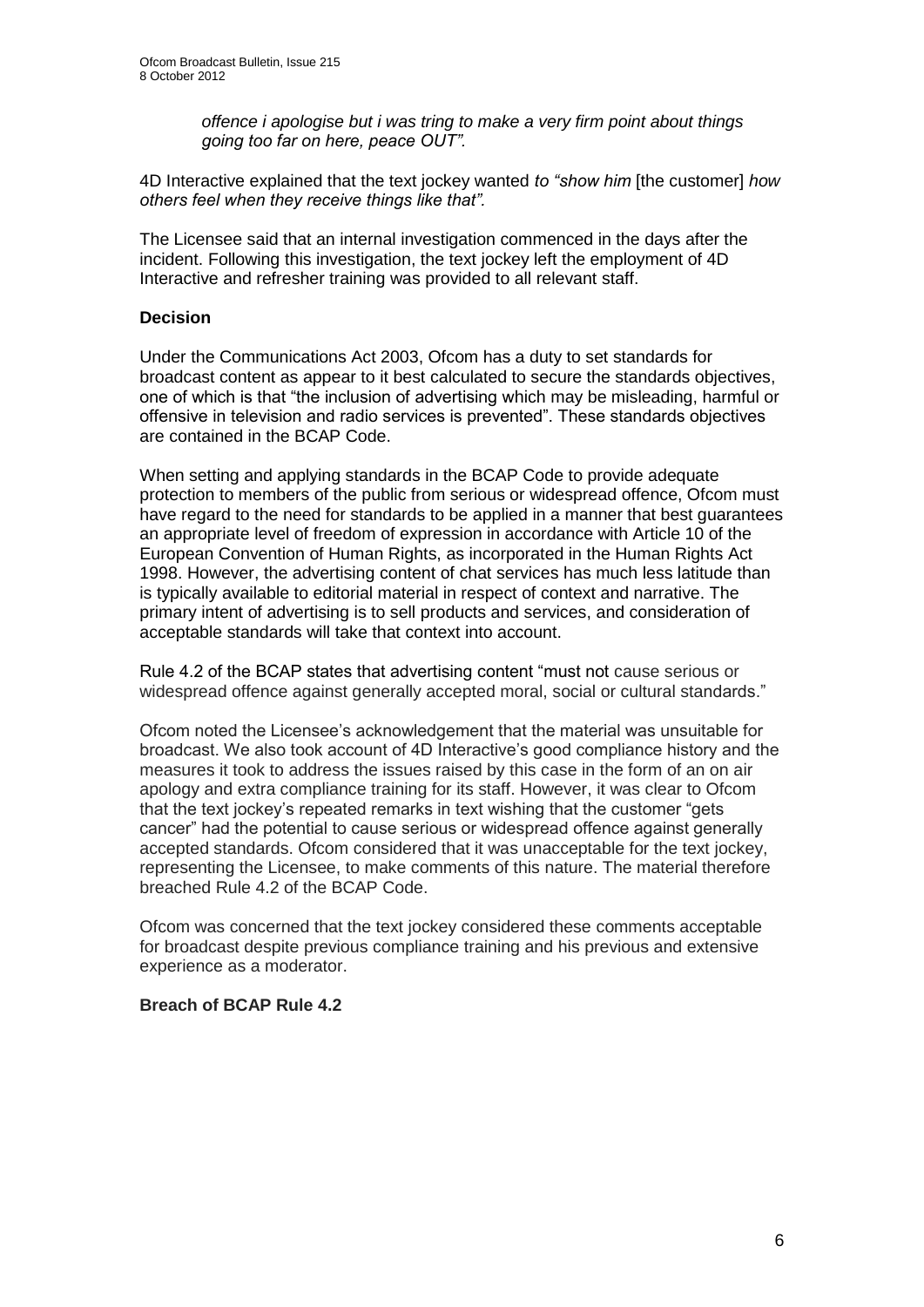*offence i apologise but i was tring to make a very firm point about things going too far on here, peace OUT".*

4D Interactive explained that the text jockey wanted *to "show him* [the customer] *how others feel when they receive things like that".* 

The Licensee said that an internal investigation commenced in the days after the incident. Following this investigation, the text jockey left the employment of 4D Interactive and refresher training was provided to all relevant staff.

### **Decision**

Under the Communications Act 2003, Ofcom has a duty to set standards for broadcast content as appear to it best calculated to secure the standards objectives, one of which is that "the inclusion of advertising which may be misleading, harmful or offensive in television and radio services is prevented". These standards objectives are contained in the BCAP Code.

When setting and applying standards in the BCAP Code to provide adequate protection to members of the public from serious or widespread offence, Ofcom must have regard to the need for standards to be applied in a manner that best guarantees an appropriate level of freedom of expression in accordance with Article 10 of the European Convention of Human Rights, as incorporated in the Human Rights Act 1998. However, the advertising content of chat services has much less latitude than is typically available to editorial material in respect of context and narrative. The primary intent of advertising is to sell products and services, and consideration of acceptable standards will take that context into account.

Rule 4.2 of the BCAP states that advertising content "must not cause serious or widespread offence against generally accepted moral, social or cultural standards."

Ofcom noted the Licensee's acknowledgement that the material was unsuitable for broadcast. We also took account of 4D Interactive's good compliance history and the measures it took to address the issues raised by this case in the form of an on air apology and extra compliance training for its staff. However, it was clear to Ofcom that the text jockey's repeated remarks in text wishing that the customer "gets cancer" had the potential to cause serious or widespread offence against generally accepted standards. Ofcom considered that it was unacceptable for the text jockey, representing the Licensee, to make comments of this nature. The material therefore breached Rule 4.2 of the BCAP Code.

Ofcom was concerned that the text jockey considered these comments acceptable for broadcast despite previous compliance training and his previous and extensive experience as a moderator.

#### **Breach of BCAP Rule 4.2**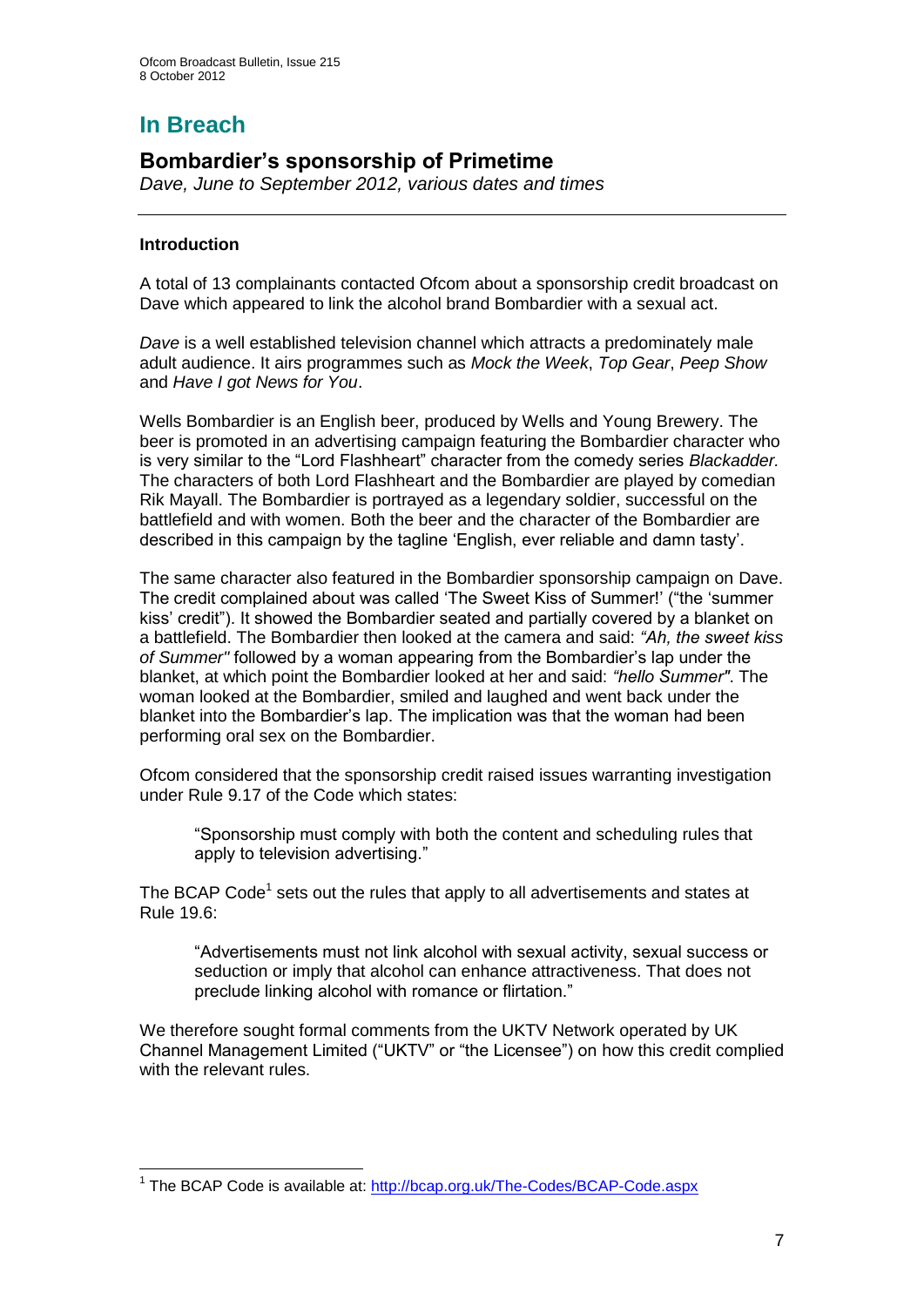# **In Breach**

## **Bombardier's sponsorship of Primetime**

*Dave, June to September 2012, various dates and times*

## **Introduction**

1

A total of 13 complainants contacted Ofcom about a sponsorship credit broadcast on Dave which appeared to link the alcohol brand Bombardier with a sexual act.

*Dave* is a well established television channel which attracts a predominately male adult audience. It airs programmes such as *Mock the Week*, *Top Gear*, *Peep Show* and *Have I got News for You*.

Wells Bombardier is an English beer, produced by Wells and Young Brewery. The beer is promoted in an advertising campaign featuring the Bombardier character who is very similar to the "Lord Flashheart" character from the comedy series *Blackadder.*  The characters of both Lord Flashheart and the Bombardier are played by comedian Rik Mayall. The Bombardier is portrayed as a legendary soldier, successful on the battlefield and with women. Both the beer and the character of the Bombardier are described in this campaign by the tagline 'English, ever reliable and damn tasty'.

The same character also featured in the Bombardier sponsorship campaign on Dave. The credit complained about was called 'The Sweet Kiss of Summer!' ("the 'summer kiss' credit"). It showed the Bombardier seated and partially covered by a blanket on a battlefield. The Bombardier then looked at the camera and said: *"Ah, the sweet kiss of Summer"* followed by a woman appearing from the Bombardier's lap under the blanket, at which point the Bombardier looked at her and said: *"hello Summer"*. The woman looked at the Bombardier, smiled and laughed and went back under the blanket into the Bombardier's lap. The implication was that the woman had been performing oral sex on the Bombardier.

Ofcom considered that the sponsorship credit raised issues warranting investigation under Rule 9.17 of the Code which states:

"Sponsorship must comply with both the content and scheduling rules that apply to television advertising."

The BCAP Code<sup>1</sup> sets out the rules that apply to all advertisements and states at Rule 19.6:

"Advertisements must not link alcohol with sexual activity, sexual success or seduction or imply that alcohol can enhance attractiveness. That does not preclude linking alcohol with romance or flirtation."

We therefore sought formal comments from the UKTV Network operated by UK Channel Management Limited ("UKTV" or "the Licensee") on how this credit complied with the relevant rules.

<sup>&</sup>lt;sup>1</sup> The BCAP Code is available at:<http://bcap.org.uk/The-Codes/BCAP-Code.aspx>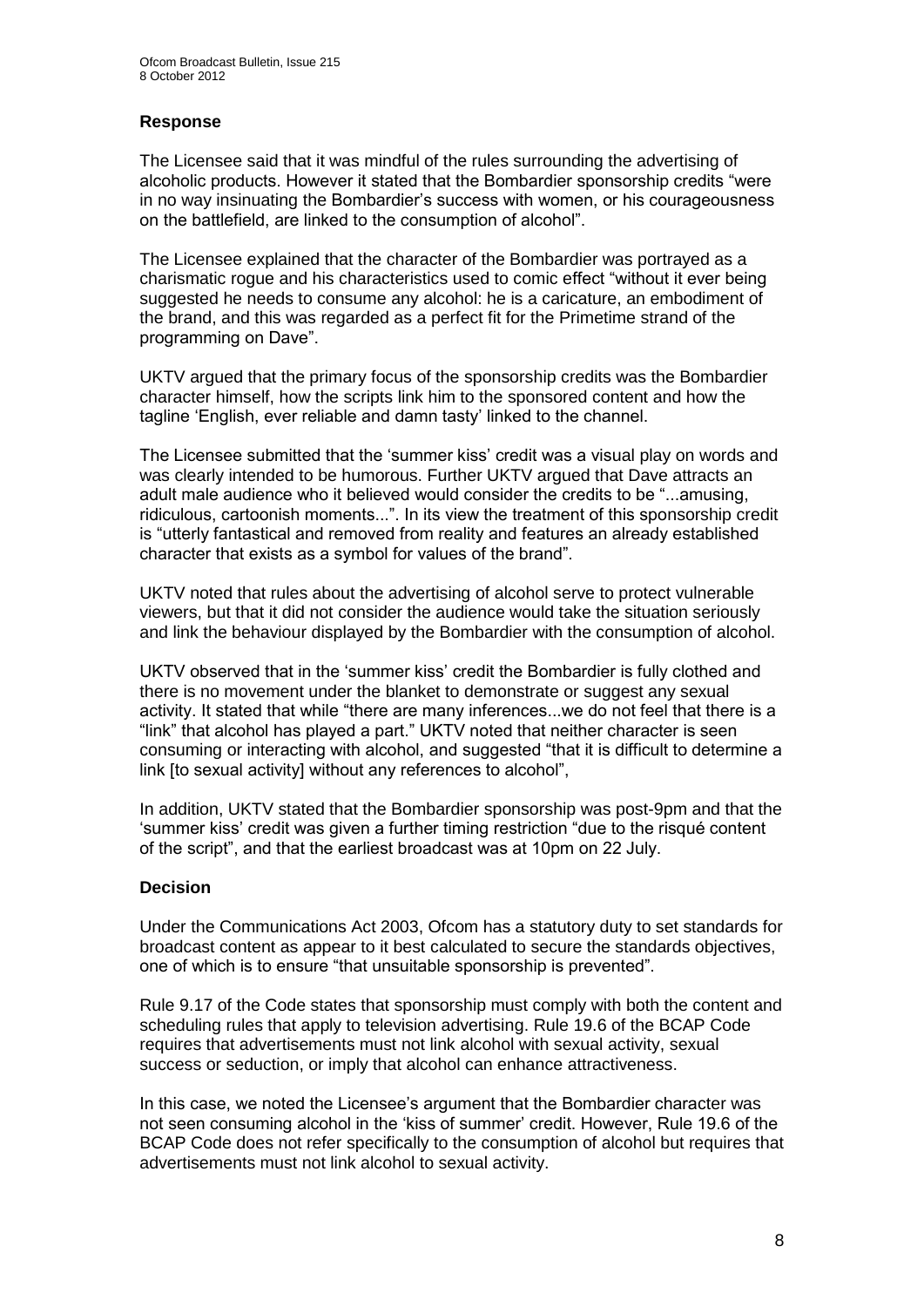## **Response**

The Licensee said that it was mindful of the rules surrounding the advertising of alcoholic products. However it stated that the Bombardier sponsorship credits "were in no way insinuating the Bombardier's success with women, or his courageousness on the battlefield, are linked to the consumption of alcohol".

The Licensee explained that the character of the Bombardier was portrayed as a charismatic rogue and his characteristics used to comic effect "without it ever being suggested he needs to consume any alcohol: he is a caricature, an embodiment of the brand, and this was regarded as a perfect fit for the Primetime strand of the programming on Dave".

UKTV argued that the primary focus of the sponsorship credits was the Bombardier character himself, how the scripts link him to the sponsored content and how the tagline 'English, ever reliable and damn tasty' linked to the channel.

The Licensee submitted that the 'summer kiss' credit was a visual play on words and was clearly intended to be humorous. Further UKTV argued that Dave attracts an adult male audience who it believed would consider the credits to be "...amusing, ridiculous, cartoonish moments...". In its view the treatment of this sponsorship credit is "utterly fantastical and removed from reality and features an already established character that exists as a symbol for values of the brand".

UKTV noted that rules about the advertising of alcohol serve to protect vulnerable viewers, but that it did not consider the audience would take the situation seriously and link the behaviour displayed by the Bombardier with the consumption of alcohol.

UKTV observed that in the 'summer kiss' credit the Bombardier is fully clothed and there is no movement under the blanket to demonstrate or suggest any sexual activity. It stated that while "there are many inferences...we do not feel that there is a "link" that alcohol has played a part." UKTV noted that neither character is seen consuming or interacting with alcohol, and suggested "that it is difficult to determine a link [to sexual activity] without any references to alcohol",

In addition, UKTV stated that the Bombardier sponsorship was post-9pm and that the 'summer kiss' credit was given a further timing restriction "due to the risqué content of the script", and that the earliest broadcast was at 10pm on 22 July.

## **Decision**

Under the Communications Act 2003, Ofcom has a statutory duty to set standards for broadcast content as appear to it best calculated to secure the standards objectives, one of which is to ensure "that unsuitable sponsorship is prevented".

Rule 9.17 of the Code states that sponsorship must comply with both the content and scheduling rules that apply to television advertising. Rule 19.6 of the BCAP Code requires that advertisements must not link alcohol with sexual activity, sexual success or seduction, or imply that alcohol can enhance attractiveness.

In this case, we noted the Licensee's argument that the Bombardier character was not seen consuming alcohol in the 'kiss of summer' credit. However, Rule 19.6 of the BCAP Code does not refer specifically to the consumption of alcohol but requires that advertisements must not link alcohol to sexual activity.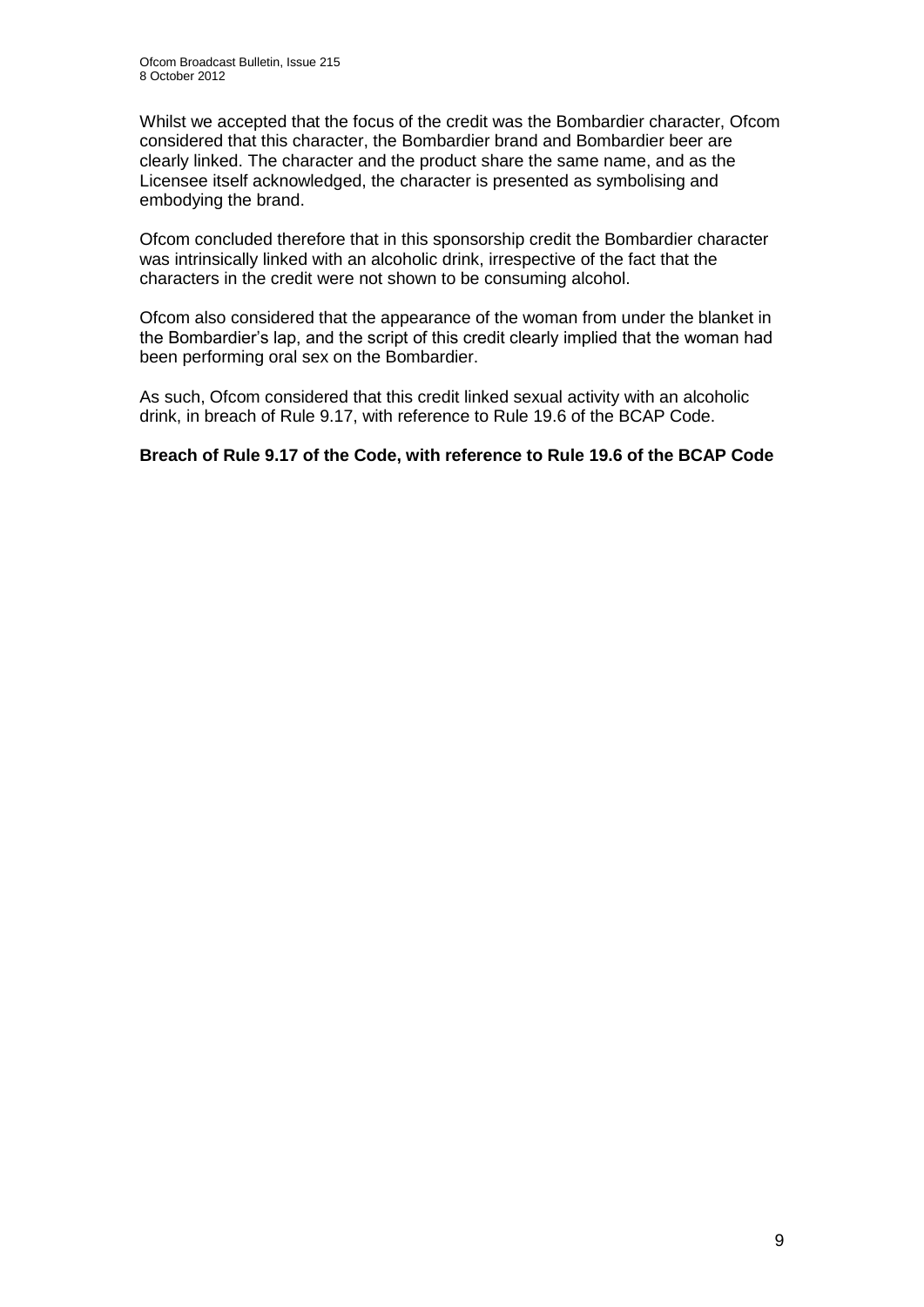Whilst we accepted that the focus of the credit was the Bombardier character, Ofcom considered that this character, the Bombardier brand and Bombardier beer are clearly linked. The character and the product share the same name, and as the Licensee itself acknowledged, the character is presented as symbolising and embodying the brand.

Ofcom concluded therefore that in this sponsorship credit the Bombardier character was intrinsically linked with an alcoholic drink, irrespective of the fact that the characters in the credit were not shown to be consuming alcohol.

Ofcom also considered that the appearance of the woman from under the blanket in the Bombardier's lap, and the script of this credit clearly implied that the woman had been performing oral sex on the Bombardier.

As such, Ofcom considered that this credit linked sexual activity with an alcoholic drink, in breach of Rule 9.17, with reference to Rule 19.6 of the BCAP Code.

## **Breach of Rule 9.17 of the Code, with reference to Rule 19.6 of the BCAP Code**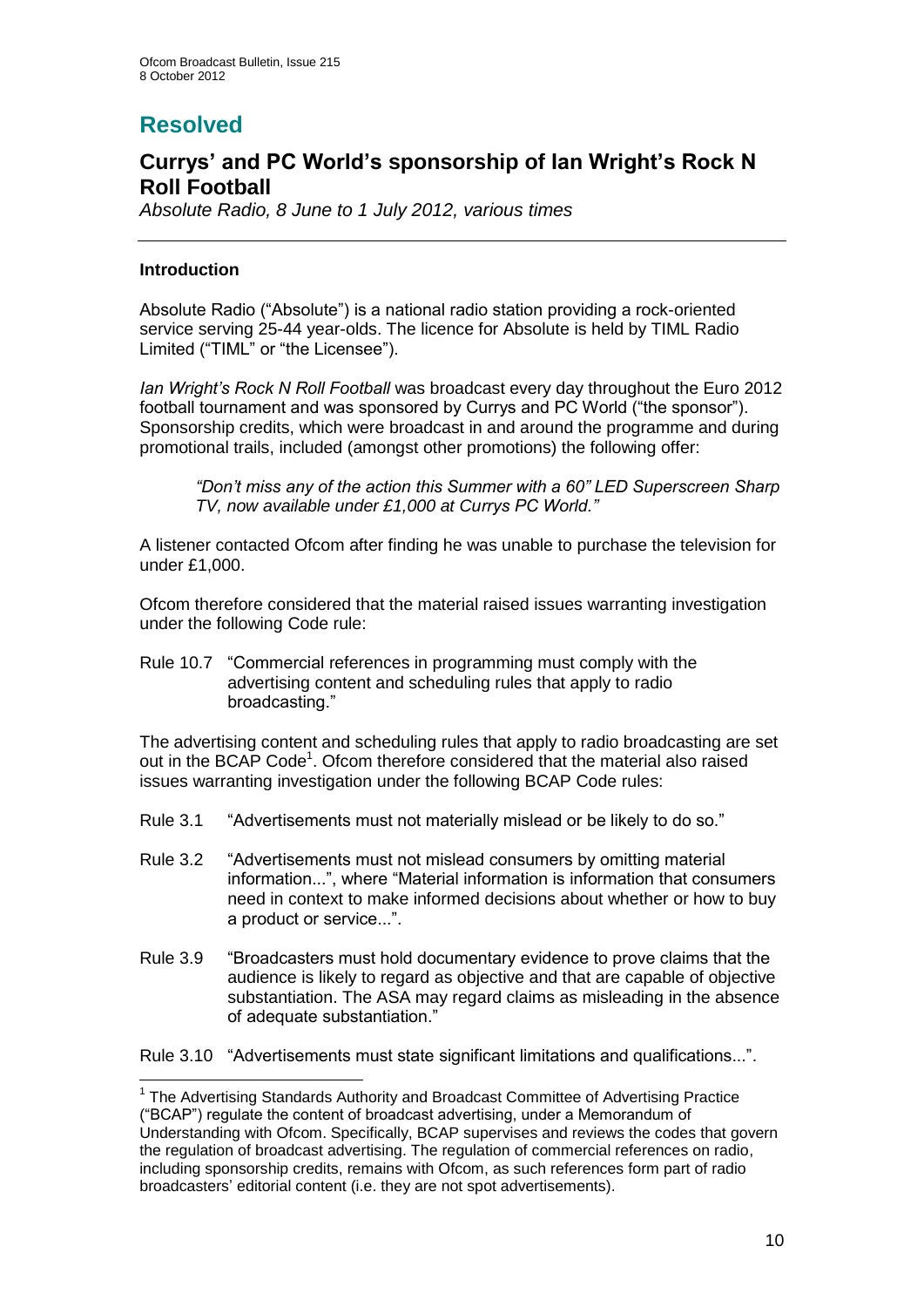## **Resolved**

## **Currys' and PC World's sponsorship of Ian Wright's Rock N Roll Football**

*Absolute Radio, 8 June to 1 July 2012, various times*

## **Introduction**

1

Absolute Radio ("Absolute") is a national radio station providing a rock-oriented service serving 25-44 year-olds. The licence for Absolute is held by TIML Radio Limited ("TIML" or "the Licensee").

*Ian Wright's Rock N Roll Football* was broadcast every day throughout the Euro 2012 football tournament and was sponsored by Currys and PC World ("the sponsor"). Sponsorship credits, which were broadcast in and around the programme and during promotional trails, included (amongst other promotions) the following offer:

*"Don't miss any of the action this Summer with a 60" LED Superscreen Sharp TV, now available under £1,000 at Currys PC World."*

A listener contacted Ofcom after finding he was unable to purchase the television for under £1,000.

Ofcom therefore considered that the material raised issues warranting investigation under the following Code rule:

Rule 10.7 "Commercial references in programming must comply with the advertising content and scheduling rules that apply to radio broadcasting."

The advertising content and scheduling rules that apply to radio broadcasting are set out in the BCAP Code<sup>1</sup>. Ofcom therefore considered that the material also raised issues warranting investigation under the following BCAP Code rules:

- Rule 3.1 "Advertisements must not materially mislead or be likely to do so."
- Rule 3.2 "Advertisements must not mislead consumers by omitting material information...", where "Material information is information that consumers need in context to make informed decisions about whether or how to buy a product or service...".
- Rule 3.9 "Broadcasters must hold documentary evidence to prove claims that the audience is likely to regard as objective and that are capable of objective substantiation. The ASA may regard claims as misleading in the absence of adequate substantiation."
- Rule 3.10 "Advertisements must state significant limitations and qualifications...".

<sup>&</sup>lt;sup>1</sup> The Advertising Standards Authority and Broadcast Committee of Advertising Practice ("BCAP") regulate the content of broadcast advertising, under a Memorandum of Understanding with Ofcom. Specifically, BCAP supervises and reviews the codes that govern the regulation of broadcast advertising. The regulation of commercial references on radio, including sponsorship credits, remains with Ofcom, as such references form part of radio broadcasters' editorial content (i.e. they are not spot advertisements).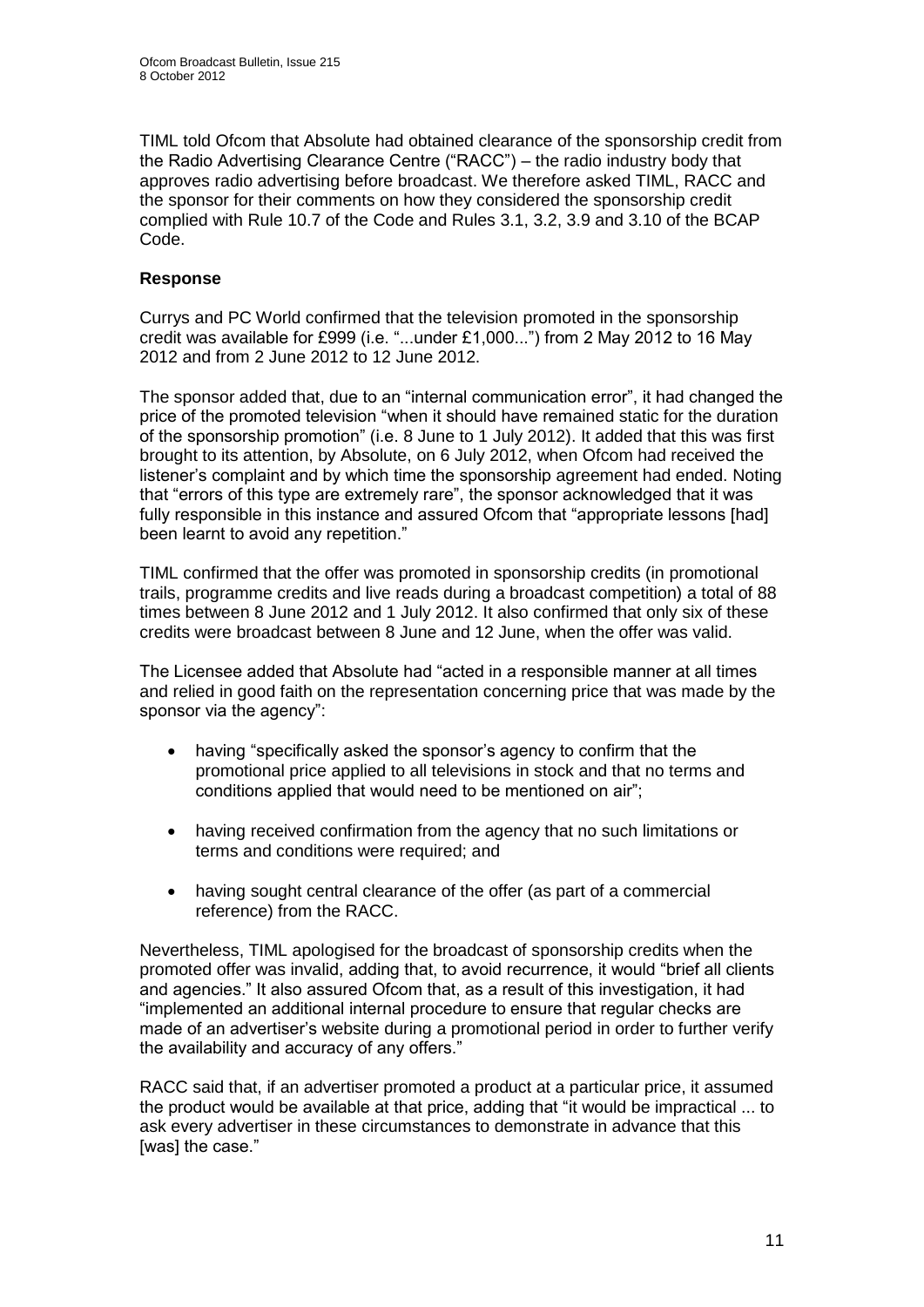TIML told Ofcom that Absolute had obtained clearance of the sponsorship credit from the Radio Advertising Clearance Centre ("RACC") – the radio industry body that approves radio advertising before broadcast. We therefore asked TIML, RACC and the sponsor for their comments on how they considered the sponsorship credit complied with Rule 10.7 of the Code and Rules 3.1, 3.2, 3.9 and 3.10 of the BCAP Code.

## **Response**

Currys and PC World confirmed that the television promoted in the sponsorship credit was available for £999 (i.e. "...under £1,000...") from 2 May 2012 to 16 May 2012 and from 2 June 2012 to 12 June 2012.

The sponsor added that, due to an "internal communication error", it had changed the price of the promoted television "when it should have remained static for the duration of the sponsorship promotion" (i.e. 8 June to 1 July 2012). It added that this was first brought to its attention, by Absolute, on 6 July 2012, when Ofcom had received the listener's complaint and by which time the sponsorship agreement had ended. Noting that "errors of this type are extremely rare", the sponsor acknowledged that it was fully responsible in this instance and assured Ofcom that "appropriate lessons [had] been learnt to avoid any repetition."

TIML confirmed that the offer was promoted in sponsorship credits (in promotional trails, programme credits and live reads during a broadcast competition) a total of 88 times between 8 June 2012 and 1 July 2012. It also confirmed that only six of these credits were broadcast between 8 June and 12 June, when the offer was valid.

The Licensee added that Absolute had "acted in a responsible manner at all times and relied in good faith on the representation concerning price that was made by the sponsor via the agency":

- having "specifically asked the sponsor's agency to confirm that the promotional price applied to all televisions in stock and that no terms and conditions applied that would need to be mentioned on air";
- having received confirmation from the agency that no such limitations or terms and conditions were required; and
- having sought central clearance of the offer (as part of a commercial reference) from the RACC.

Nevertheless, TIML apologised for the broadcast of sponsorship credits when the promoted offer was invalid, adding that, to avoid recurrence, it would "brief all clients and agencies." It also assured Ofcom that, as a result of this investigation, it had "implemented an additional internal procedure to ensure that regular checks are made of an advertiser's website during a promotional period in order to further verify the availability and accuracy of any offers."

RACC said that, if an advertiser promoted a product at a particular price, it assumed the product would be available at that price, adding that "it would be impractical ... to ask every advertiser in these circumstances to demonstrate in advance that this [was] the case."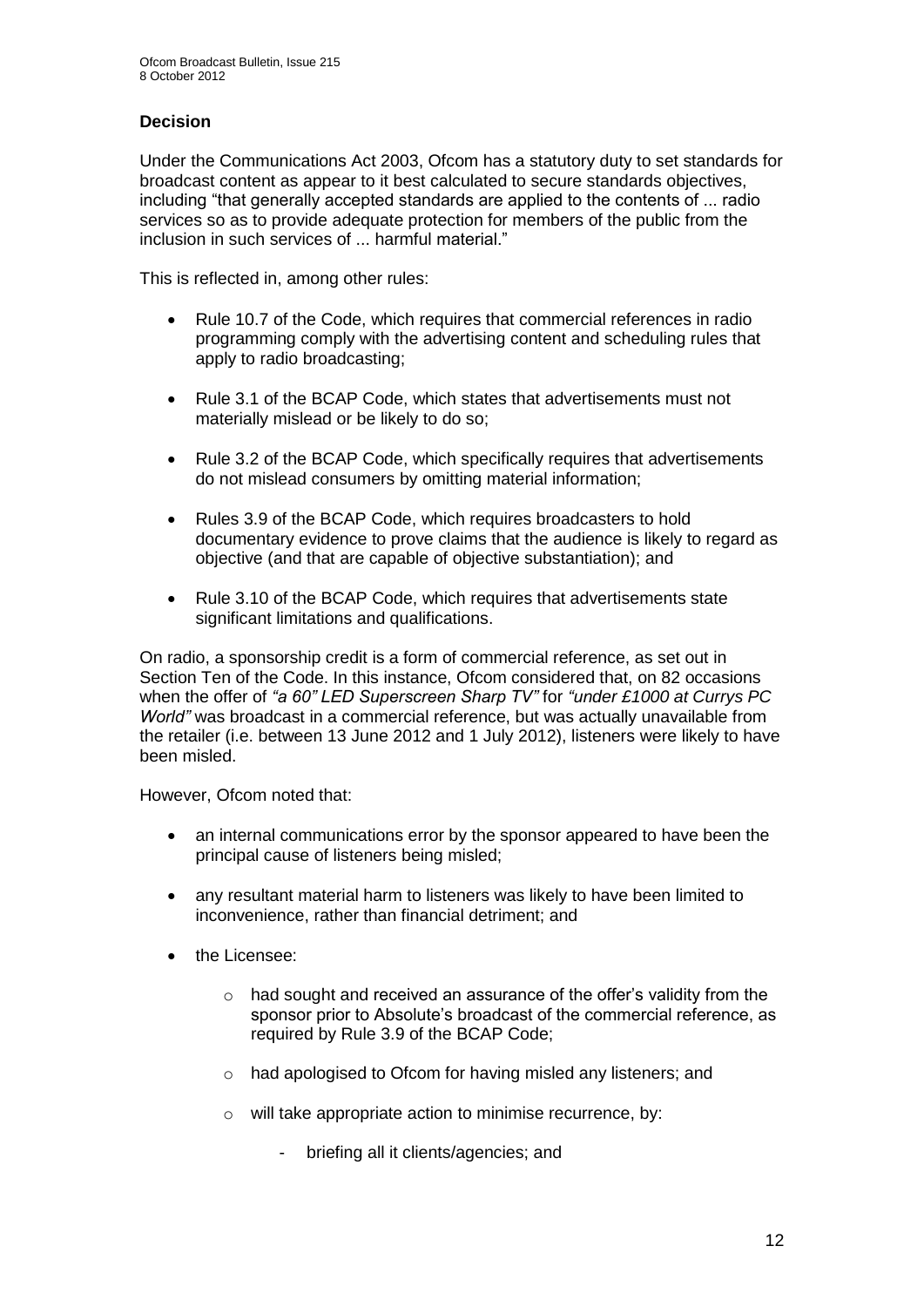## **Decision**

Under the Communications Act 2003, Ofcom has a statutory duty to set standards for broadcast content as appear to it best calculated to secure standards objectives, including "that generally accepted standards are applied to the contents of ... radio services so as to provide adequate protection for members of the public from the inclusion in such services of ... harmful material."

This is reflected in, among other rules:

- Rule 10.7 of the Code, which requires that commercial references in radio programming comply with the advertising content and scheduling rules that apply to radio broadcasting;
- Rule 3.1 of the BCAP Code, which states that advertisements must not materially mislead or be likely to do so;
- Rule 3.2 of the BCAP Code, which specifically requires that advertisements do not mislead consumers by omitting material information;
- Rules 3.9 of the BCAP Code, which requires broadcasters to hold documentary evidence to prove claims that the audience is likely to regard as objective (and that are capable of objective substantiation); and
- Rule 3.10 of the BCAP Code, which requires that advertisements state significant limitations and qualifications.

On radio, a sponsorship credit is a form of commercial reference, as set out in Section Ten of the Code. In this instance, Ofcom considered that, on 82 occasions when the offer of *"a 60" LED Superscreen Sharp TV"* for *"under £1000 at Currys PC World"* was broadcast in a commercial reference, but was actually unavailable from the retailer (i.e. between 13 June 2012 and 1 July 2012), listeners were likely to have been misled.

However, Ofcom noted that:

- an internal communications error by the sponsor appeared to have been the principal cause of listeners being misled;
- any resultant material harm to listeners was likely to have been limited to inconvenience, rather than financial detriment; and
- the Licensee:
	- o had sought and received an assurance of the offer's validity from the sponsor prior to Absolute's broadcast of the commercial reference, as required by Rule 3.9 of the BCAP Code;
	- o had apologised to Ofcom for having misled any listeners; and
	- o will take appropriate action to minimise recurrence, by:
		- briefing all it clients/agencies; and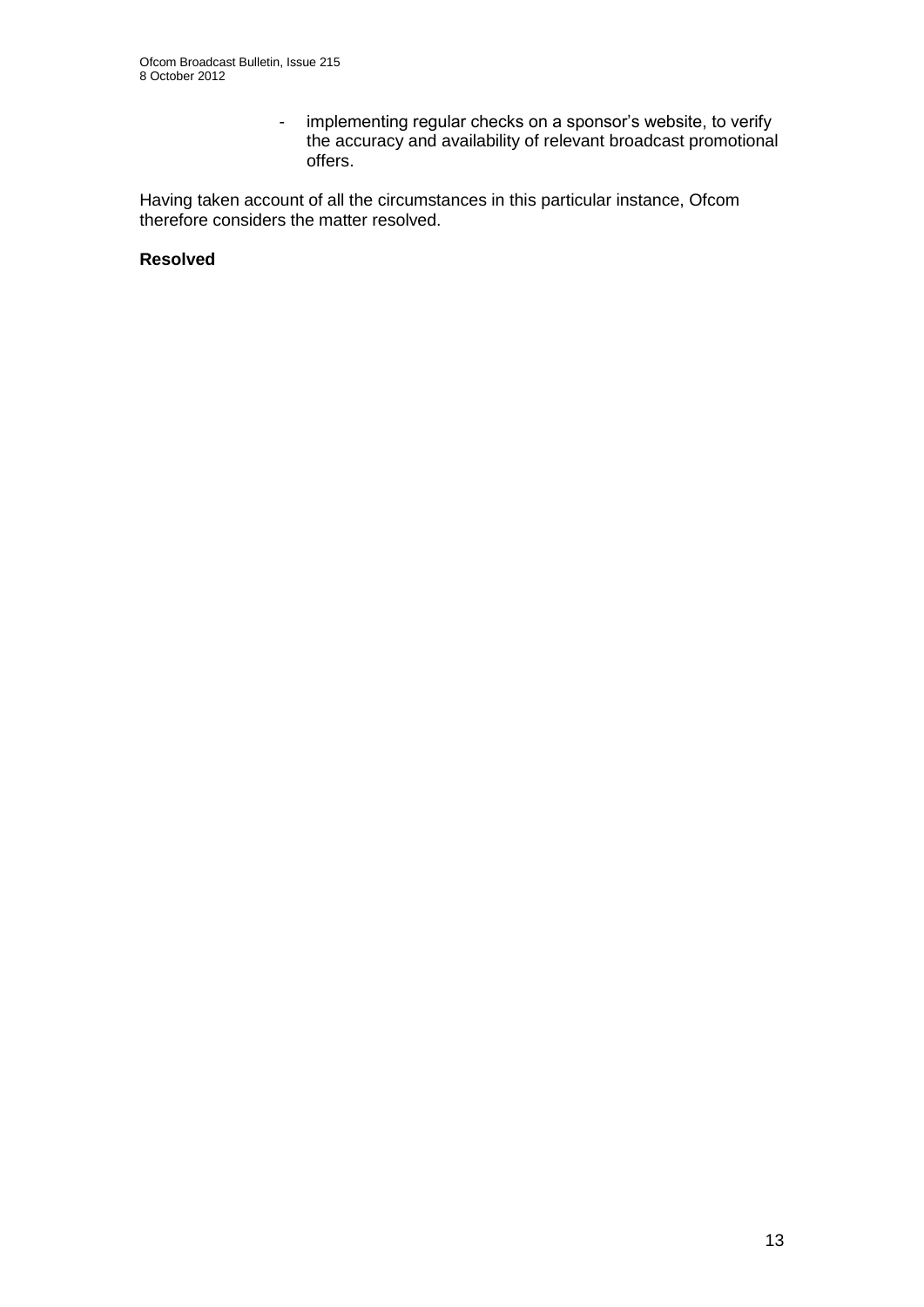- implementing regular checks on a sponsor's website, to verify the accuracy and availability of relevant broadcast promotional offers.

Having taken account of all the circumstances in this particular instance, Ofcom therefore considers the matter resolved.

#### **Resolved**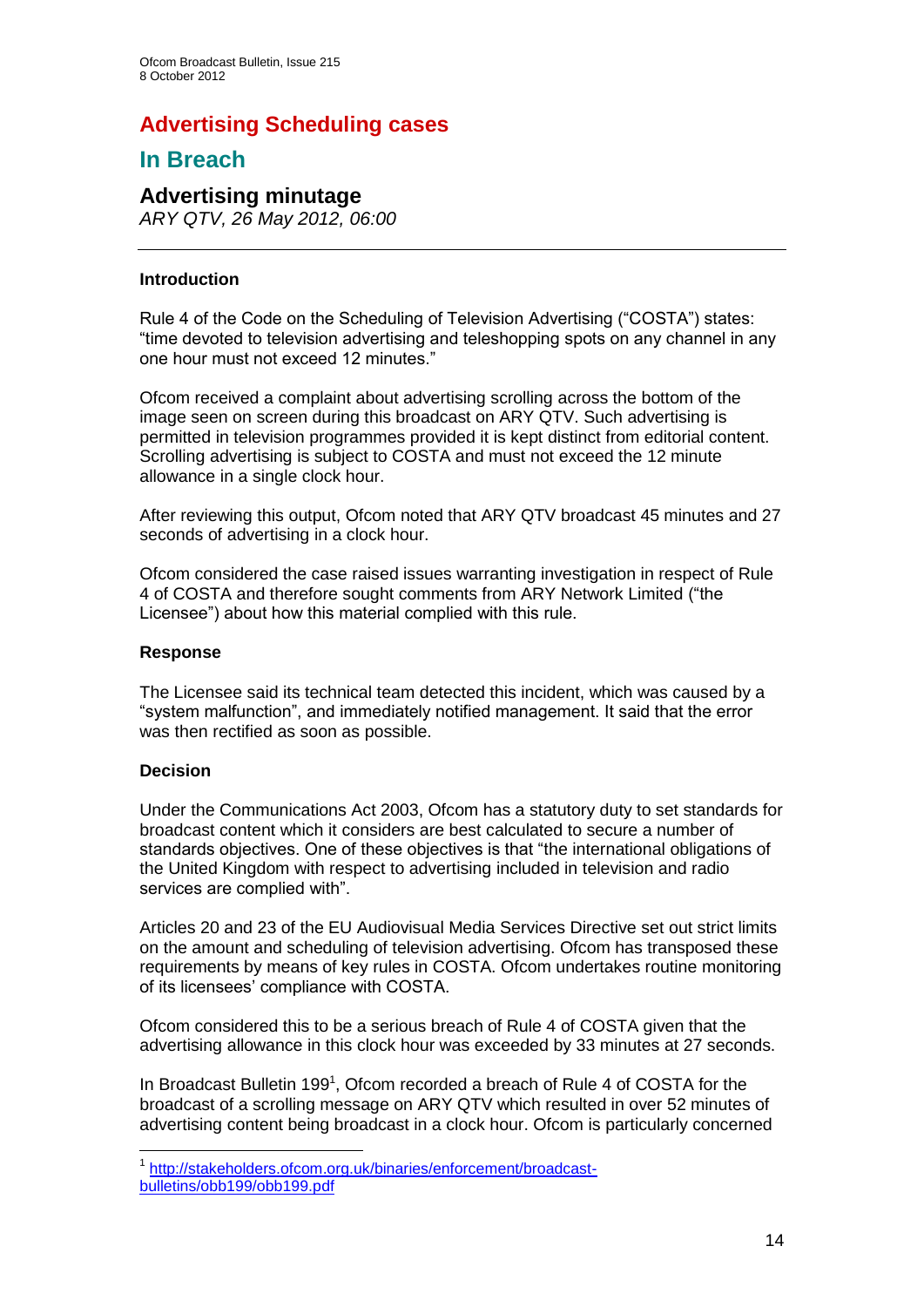## **Advertising Scheduling cases**

## **In Breach**

## **Advertising minutage**

*ARY QTV, 26 May 2012, 06:00*

## **Introduction**

Rule 4 of the Code on the Scheduling of Television Advertising ("COSTA") states: "time devoted to television advertising and teleshopping spots on any channel in any one hour must not exceed 12 minutes."

Ofcom received a complaint about advertising scrolling across the bottom of the image seen on screen during this broadcast on ARY QTV. Such advertising is permitted in television programmes provided it is kept distinct from editorial content. Scrolling advertising is subject to COSTA and must not exceed the 12 minute allowance in a single clock hour.

After reviewing this output, Ofcom noted that ARY QTV broadcast 45 minutes and 27 seconds of advertising in a clock hour.

Ofcom considered the case raised issues warranting investigation in respect of Rule 4 of COSTA and therefore sought comments from ARY Network Limited ("the Licensee") about how this material complied with this rule.

#### **Response**

The Licensee said its technical team detected this incident, which was caused by a "system malfunction", and immediately notified management. It said that the error was then rectified as soon as possible.

#### **Decision**

Under the Communications Act 2003, Ofcom has a statutory duty to set standards for broadcast content which it considers are best calculated to secure a number of standards objectives. One of these objectives is that "the international obligations of the United Kingdom with respect to advertising included in television and radio services are complied with".

Articles 20 and 23 of the EU Audiovisual Media Services Directive set out strict limits on the amount and scheduling of television advertising. Ofcom has transposed these requirements by means of key rules in COSTA. Ofcom undertakes routine monitoring of its licensees' compliance with COSTA.

Ofcom considered this to be a serious breach of Rule 4 of COSTA given that the advertising allowance in this clock hour was exceeded by 33 minutes at 27 seconds.

In Broadcast Bulletin 199<sup>1</sup>, Ofcom recorded a breach of Rule 4 of COSTA for the broadcast of a scrolling message on ARY QTV which resulted in over 52 minutes of advertising content being broadcast in a clock hour. Ofcom is particularly concerned

 1 [http://stakeholders.ofcom.org.uk/binaries/enforcement/broadcast](http://stakeholders.ofcom.org.uk/binaries/enforcement/broadcast-bulletins/obb199/obb199.pdf)[bulletins/obb199/obb199.pdf](http://stakeholders.ofcom.org.uk/binaries/enforcement/broadcast-bulletins/obb199/obb199.pdf)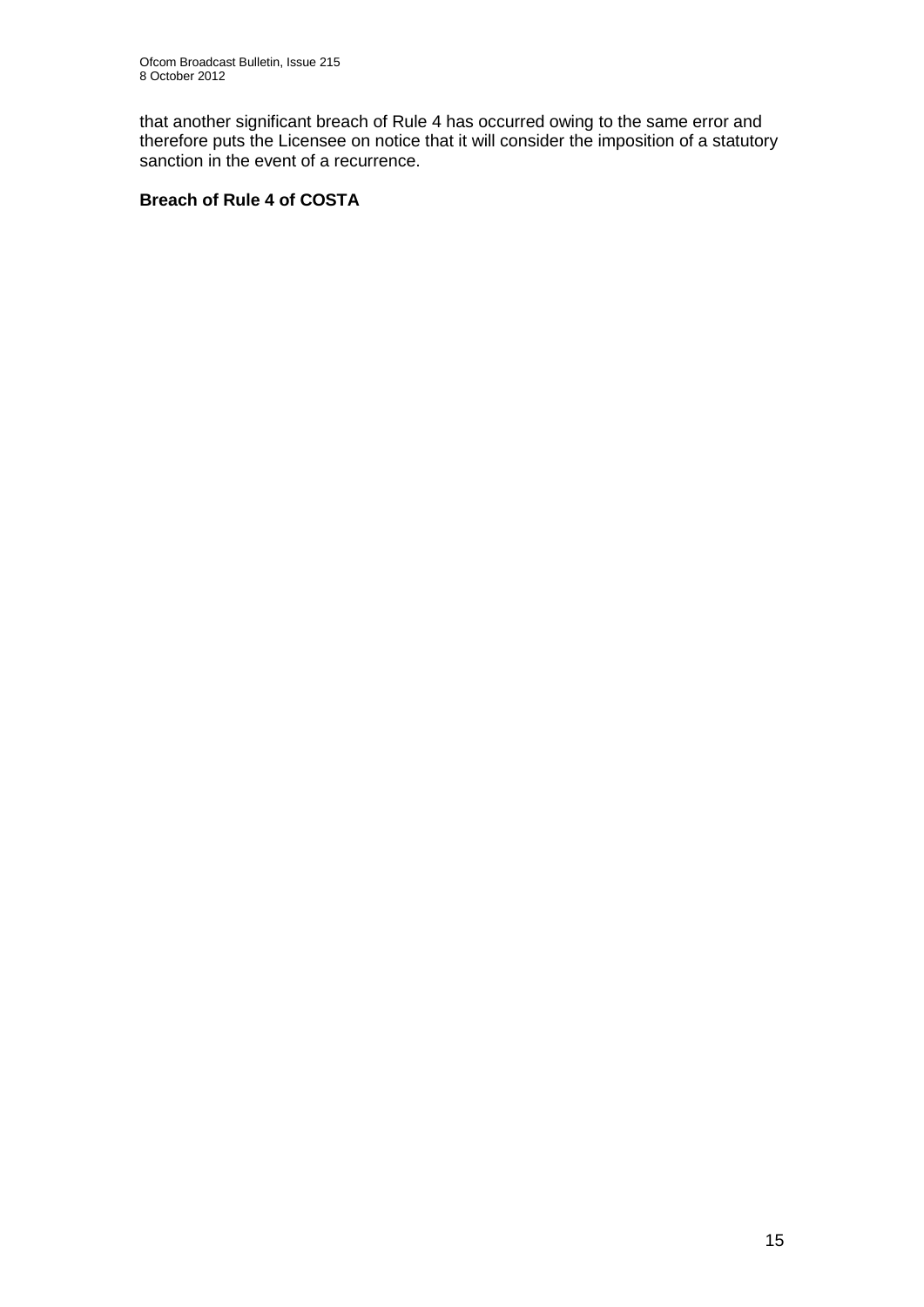that another significant breach of Rule 4 has occurred owing to the same error and therefore puts the Licensee on notice that it will consider the imposition of a statutory sanction in the event of a recurrence.

## **Breach of Rule 4 of COSTA**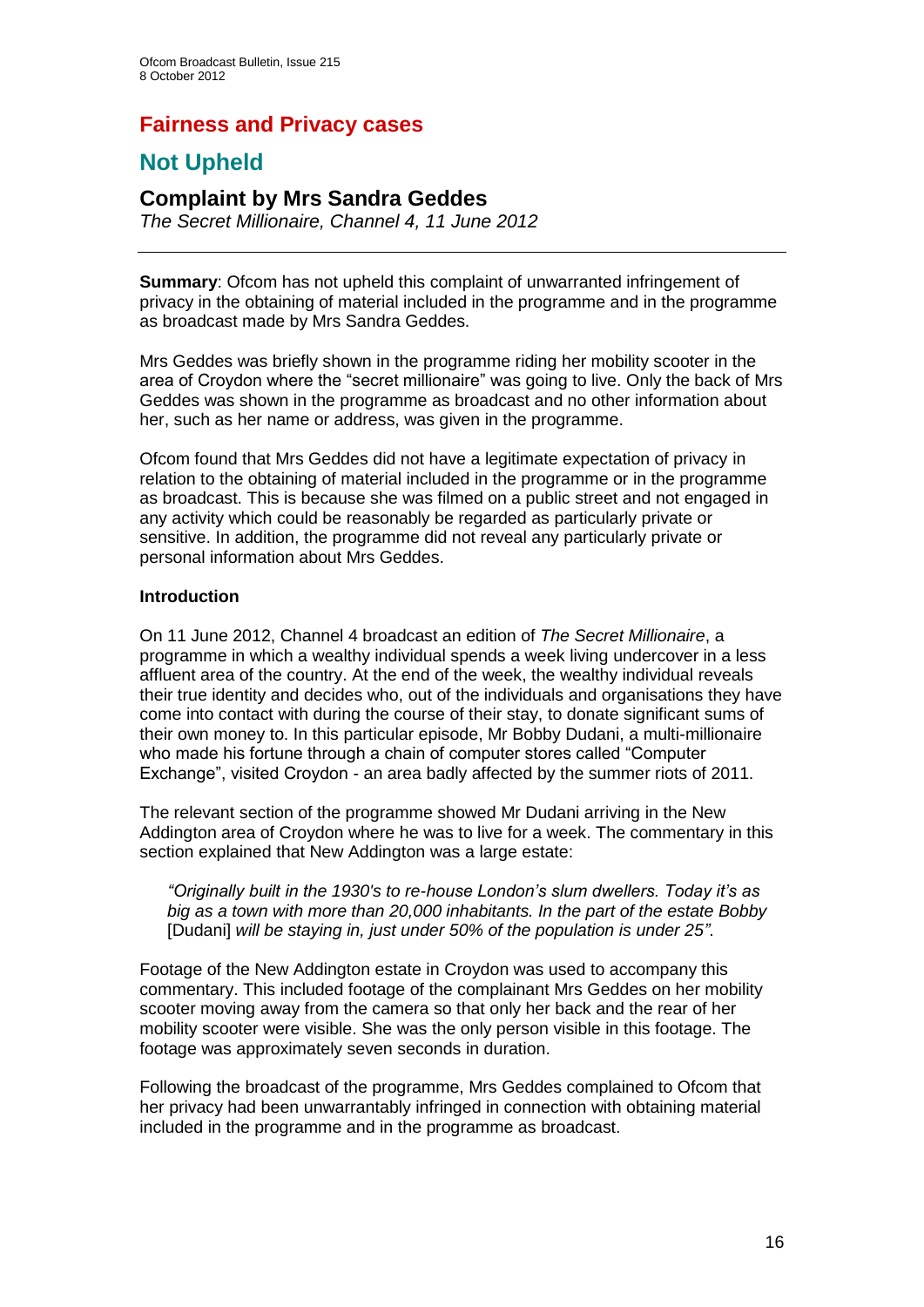## **Fairness and Privacy cases**

## **Not Upheld**

## **Complaint by Mrs Sandra Geddes**

*The Secret Millionaire, Channel 4, 11 June 2012*

**Summary**: Ofcom has not upheld this complaint of unwarranted infringement of privacy in the obtaining of material included in the programme and in the programme as broadcast made by Mrs Sandra Geddes.

Mrs Geddes was briefly shown in the programme riding her mobility scooter in the area of Croydon where the "secret millionaire" was going to live. Only the back of Mrs Geddes was shown in the programme as broadcast and no other information about her, such as her name or address, was given in the programme.

Ofcom found that Mrs Geddes did not have a legitimate expectation of privacy in relation to the obtaining of material included in the programme or in the programme as broadcast. This is because she was filmed on a public street and not engaged in any activity which could be reasonably be regarded as particularly private or sensitive. In addition, the programme did not reveal any particularly private or personal information about Mrs Geddes.

#### **Introduction**

On 11 June 2012, Channel 4 broadcast an edition of *The Secret Millionaire*, a programme in which a wealthy individual spends a week living undercover in a less affluent area of the country. At the end of the week, the wealthy individual reveals their true identity and decides who, out of the individuals and organisations they have come into contact with during the course of their stay, to donate significant sums of their own money to. In this particular episode, Mr Bobby Dudani, a multi-millionaire who made his fortune through a chain of computer stores called "Computer Exchange", visited Croydon - an area badly affected by the summer riots of 2011.

The relevant section of the programme showed Mr Dudani arriving in the New Addington area of Croydon where he was to live for a week. The commentary in this section explained that New Addington was a large estate:

*"Originally built in the 1930's to re-house London's slum dwellers. Today it's as big as a town with more than 20,000 inhabitants. In the part of the estate Bobby*  [Dudani] *will be staying in, just under 50% of the population is under 25"*.

Footage of the New Addington estate in Croydon was used to accompany this commentary. This included footage of the complainant Mrs Geddes on her mobility scooter moving away from the camera so that only her back and the rear of her mobility scooter were visible. She was the only person visible in this footage. The footage was approximately seven seconds in duration.

Following the broadcast of the programme, Mrs Geddes complained to Ofcom that her privacy had been unwarrantably infringed in connection with obtaining material included in the programme and in the programme as broadcast.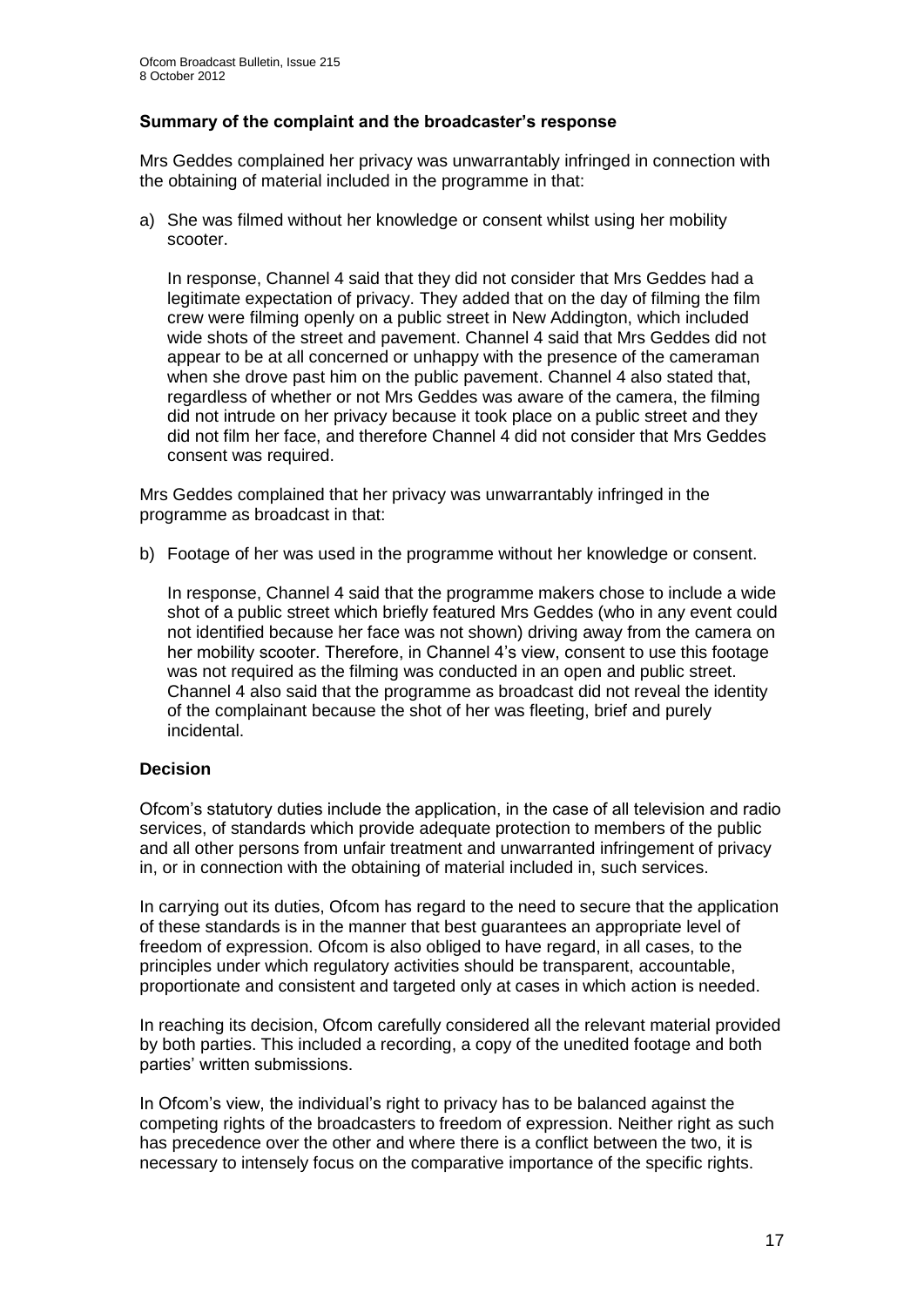## **Summary of the complaint and the broadcaster's response**

Mrs Geddes complained her privacy was unwarrantably infringed in connection with the obtaining of material included in the programme in that:

a) She was filmed without her knowledge or consent whilst using her mobility scooter.

In response, Channel 4 said that they did not consider that Mrs Geddes had a legitimate expectation of privacy. They added that on the day of filming the film crew were filming openly on a public street in New Addington, which included wide shots of the street and pavement. Channel 4 said that Mrs Geddes did not appear to be at all concerned or unhappy with the presence of the cameraman when she drove past him on the public pavement. Channel 4 also stated that, regardless of whether or not Mrs Geddes was aware of the camera, the filming did not intrude on her privacy because it took place on a public street and they did not film her face, and therefore Channel 4 did not consider that Mrs Geddes consent was required.

Mrs Geddes complained that her privacy was unwarrantably infringed in the programme as broadcast in that:

b) Footage of her was used in the programme without her knowledge or consent.

In response, Channel 4 said that the programme makers chose to include a wide shot of a public street which briefly featured Mrs Geddes (who in any event could not identified because her face was not shown) driving away from the camera on her mobility scooter. Therefore, in Channel 4's view, consent to use this footage was not required as the filming was conducted in an open and public street. Channel 4 also said that the programme as broadcast did not reveal the identity of the complainant because the shot of her was fleeting, brief and purely incidental.

## **Decision**

Ofcom's statutory duties include the application, in the case of all television and radio services, of standards which provide adequate protection to members of the public and all other persons from unfair treatment and unwarranted infringement of privacy in, or in connection with the obtaining of material included in, such services.

In carrying out its duties, Ofcom has regard to the need to secure that the application of these standards is in the manner that best guarantees an appropriate level of freedom of expression. Ofcom is also obliged to have regard, in all cases, to the principles under which regulatory activities should be transparent, accountable, proportionate and consistent and targeted only at cases in which action is needed.

In reaching its decision, Ofcom carefully considered all the relevant material provided by both parties. This included a recording, a copy of the unedited footage and both parties' written submissions.

In Ofcom's view, the individual's right to privacy has to be balanced against the competing rights of the broadcasters to freedom of expression. Neither right as such has precedence over the other and where there is a conflict between the two, it is necessary to intensely focus on the comparative importance of the specific rights.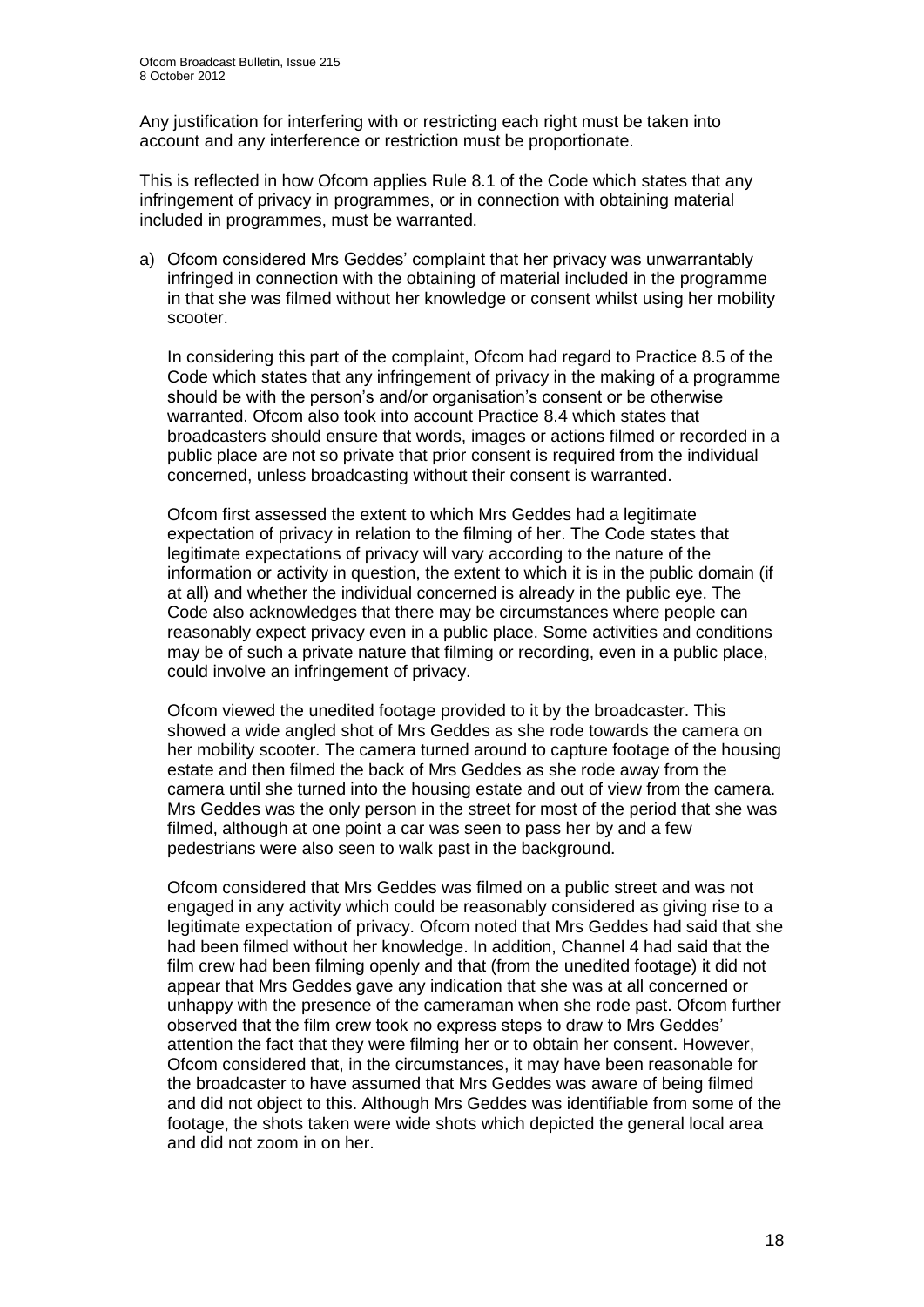Any justification for interfering with or restricting each right must be taken into account and any interference or restriction must be proportionate.

This is reflected in how Ofcom applies Rule 8.1 of the Code which states that any infringement of privacy in programmes, or in connection with obtaining material included in programmes, must be warranted.

a) Ofcom considered Mrs Geddes' complaint that her privacy was unwarrantably infringed in connection with the obtaining of material included in the programme in that she was filmed without her knowledge or consent whilst using her mobility scooter.

In considering this part of the complaint, Ofcom had regard to Practice 8.5 of the Code which states that any infringement of privacy in the making of a programme should be with the person's and/or organisation's consent or be otherwise warranted. Ofcom also took into account Practice 8.4 which states that broadcasters should ensure that words, images or actions filmed or recorded in a public place are not so private that prior consent is required from the individual concerned, unless broadcasting without their consent is warranted.

Ofcom first assessed the extent to which Mrs Geddes had a legitimate expectation of privacy in relation to the filming of her. The Code states that legitimate expectations of privacy will vary according to the nature of the information or activity in question, the extent to which it is in the public domain (if at all) and whether the individual concerned is already in the public eye. The Code also acknowledges that there may be circumstances where people can reasonably expect privacy even in a public place. Some activities and conditions may be of such a private nature that filming or recording, even in a public place, could involve an infringement of privacy.

Ofcom viewed the unedited footage provided to it by the broadcaster. This showed a wide angled shot of Mrs Geddes as she rode towards the camera on her mobility scooter. The camera turned around to capture footage of the housing estate and then filmed the back of Mrs Geddes as she rode away from the camera until she turned into the housing estate and out of view from the camera. Mrs Geddes was the only person in the street for most of the period that she was filmed, although at one point a car was seen to pass her by and a few pedestrians were also seen to walk past in the background.

Ofcom considered that Mrs Geddes was filmed on a public street and was not engaged in any activity which could be reasonably considered as giving rise to a legitimate expectation of privacy. Ofcom noted that Mrs Geddes had said that she had been filmed without her knowledge. In addition, Channel 4 had said that the film crew had been filming openly and that (from the unedited footage) it did not appear that Mrs Geddes gave any indication that she was at all concerned or unhappy with the presence of the cameraman when she rode past. Ofcom further observed that the film crew took no express steps to draw to Mrs Geddes' attention the fact that they were filming her or to obtain her consent. However, Ofcom considered that, in the circumstances, it may have been reasonable for the broadcaster to have assumed that Mrs Geddes was aware of being filmed and did not object to this. Although Mrs Geddes was identifiable from some of the footage, the shots taken were wide shots which depicted the general local area and did not zoom in on her.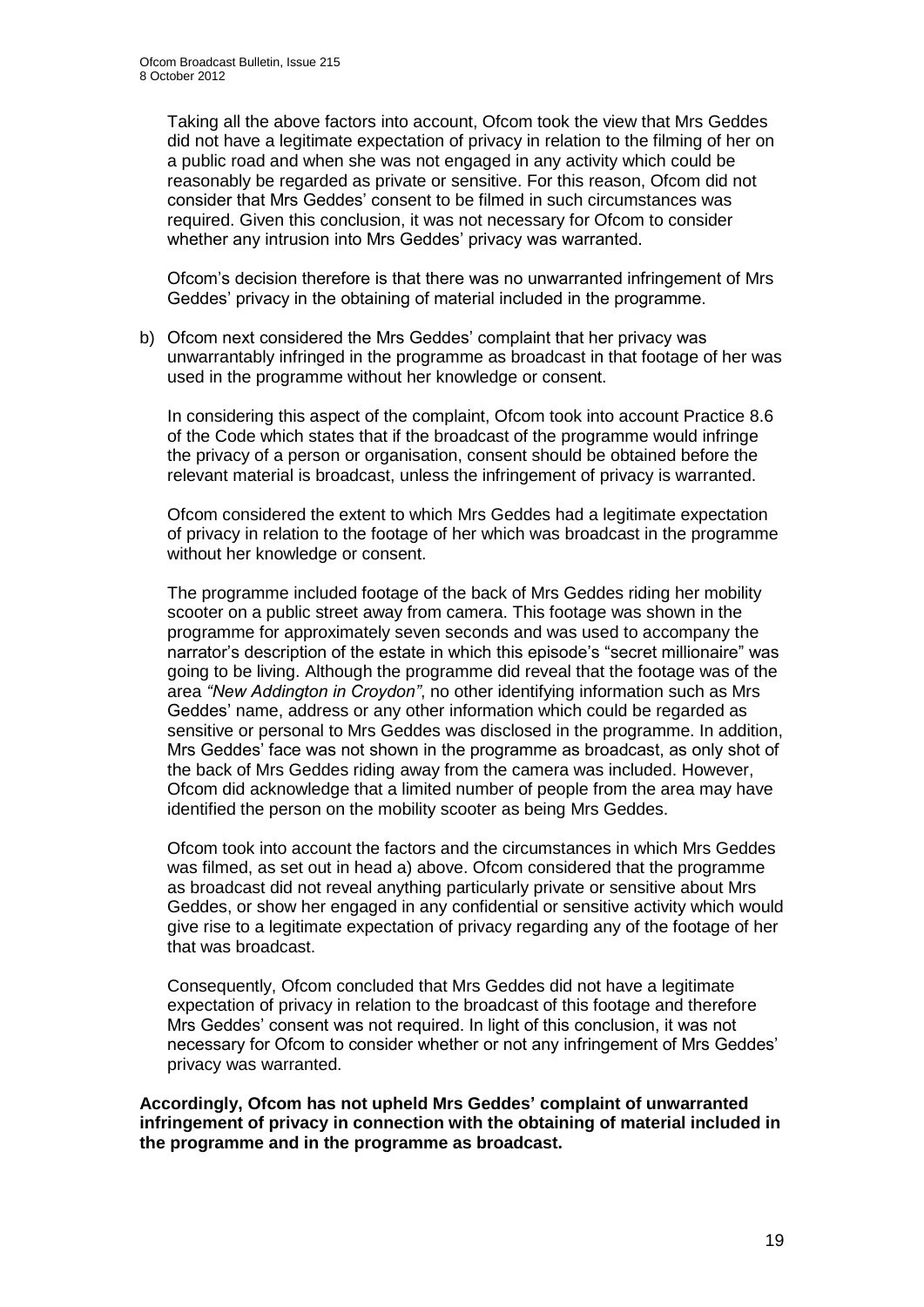Taking all the above factors into account, Ofcom took the view that Mrs Geddes did not have a legitimate expectation of privacy in relation to the filming of her on a public road and when she was not engaged in any activity which could be reasonably be regarded as private or sensitive. For this reason, Ofcom did not consider that Mrs Geddes' consent to be filmed in such circumstances was required. Given this conclusion, it was not necessary for Ofcom to consider whether any intrusion into Mrs Geddes' privacy was warranted.

Ofcom's decision therefore is that there was no unwarranted infringement of Mrs Geddes' privacy in the obtaining of material included in the programme.

b) Ofcom next considered the Mrs Geddes' complaint that her privacy was unwarrantably infringed in the programme as broadcast in that footage of her was used in the programme without her knowledge or consent.

In considering this aspect of the complaint, Ofcom took into account Practice 8.6 of the Code which states that if the broadcast of the programme would infringe the privacy of a person or organisation, consent should be obtained before the relevant material is broadcast, unless the infringement of privacy is warranted.

Ofcom considered the extent to which Mrs Geddes had a legitimate expectation of privacy in relation to the footage of her which was broadcast in the programme without her knowledge or consent.

The programme included footage of the back of Mrs Geddes riding her mobility scooter on a public street away from camera. This footage was shown in the programme for approximately seven seconds and was used to accompany the narrator's description of the estate in which this episode's "secret millionaire" was going to be living. Although the programme did reveal that the footage was of the area *"New Addington in Croydon"*, no other identifying information such as Mrs Geddes' name, address or any other information which could be regarded as sensitive or personal to Mrs Geddes was disclosed in the programme. In addition, Mrs Geddes' face was not shown in the programme as broadcast, as only shot of the back of Mrs Geddes riding away from the camera was included. However, Ofcom did acknowledge that a limited number of people from the area may have identified the person on the mobility scooter as being Mrs Geddes.

Ofcom took into account the factors and the circumstances in which Mrs Geddes was filmed, as set out in head a) above. Ofcom considered that the programme as broadcast did not reveal anything particularly private or sensitive about Mrs Geddes, or show her engaged in any confidential or sensitive activity which would give rise to a legitimate expectation of privacy regarding any of the footage of her that was broadcast.

Consequently, Ofcom concluded that Mrs Geddes did not have a legitimate expectation of privacy in relation to the broadcast of this footage and therefore Mrs Geddes' consent was not required. In light of this conclusion, it was not necessary for Ofcom to consider whether or not any infringement of Mrs Geddes' privacy was warranted.

**Accordingly, Ofcom has not upheld Mrs Geddes' complaint of unwarranted infringement of privacy in connection with the obtaining of material included in the programme and in the programme as broadcast.**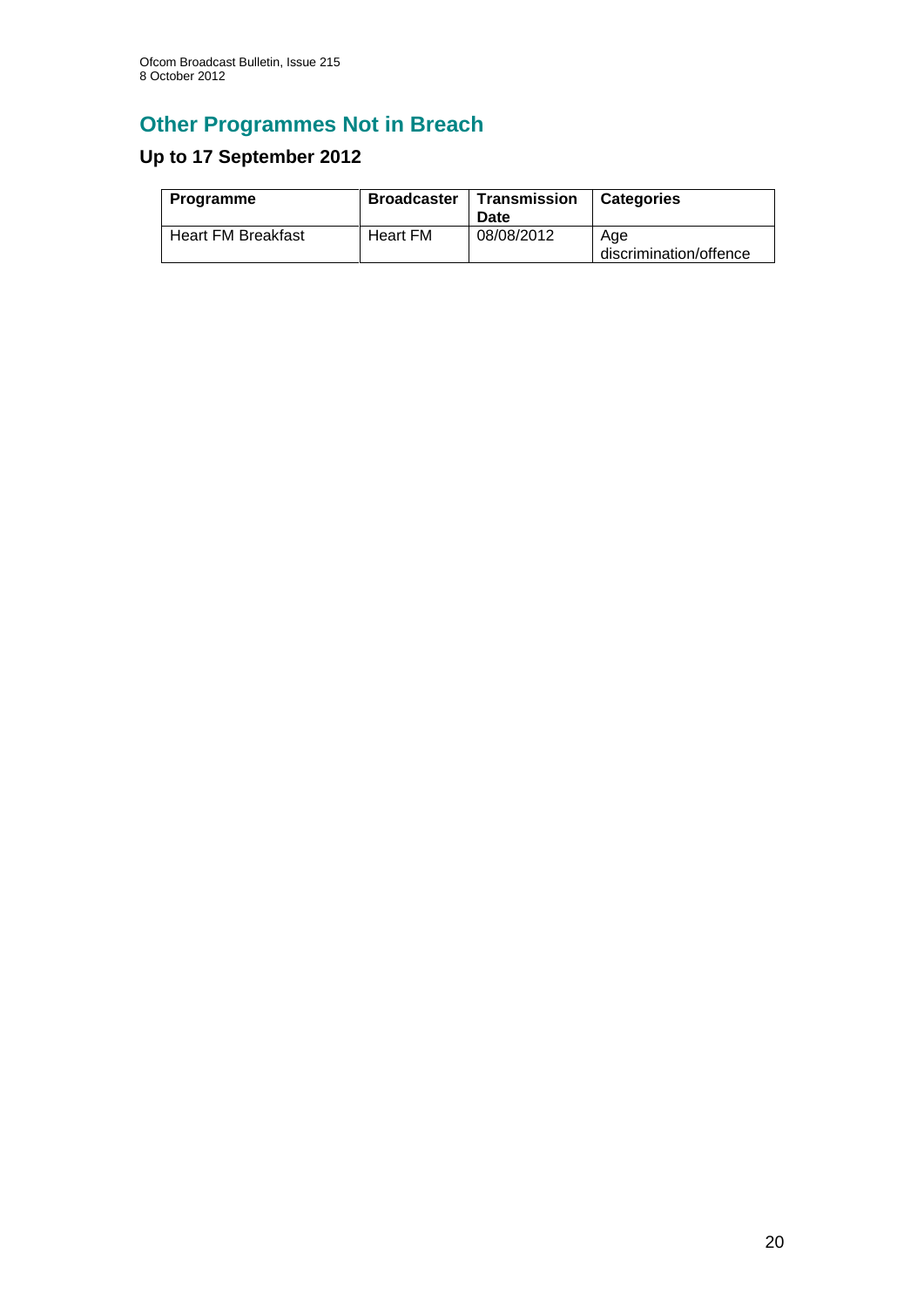# **Other Programmes Not in Breach**

## **Up to 17 September 2012**

| <b>Programme</b>          | <b>Broadcaster</b> | Transmission<br>Date | <b>Categories</b>             |
|---------------------------|--------------------|----------------------|-------------------------------|
| <b>Heart FM Breakfast</b> | Heart FM           | 08/08/2012           | Age<br>discrimination/offence |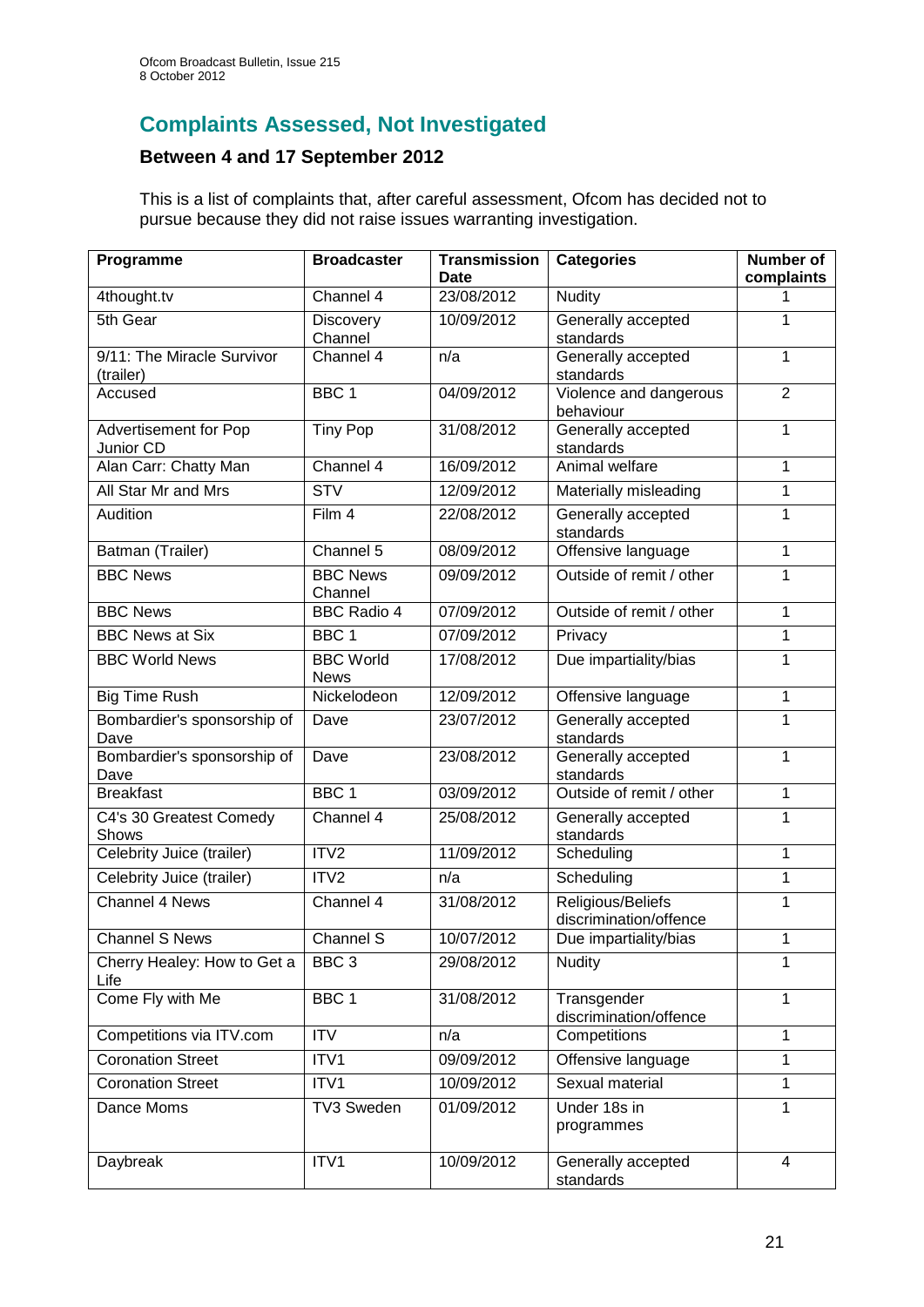## **Complaints Assessed, Not Investigated**

## **Between 4 and 17 September 2012**

This is a list of complaints that, after careful assessment, Ofcom has decided not to pursue because they did not raise issues warranting investigation.

| Programme                           | <b>Broadcaster</b>              | <b>Transmission</b><br><b>Date</b> | <b>Categories</b>                           | <b>Number of</b><br>complaints |
|-------------------------------------|---------------------------------|------------------------------------|---------------------------------------------|--------------------------------|
| 4thought.tv                         | Channel 4                       | 23/08/2012                         | <b>Nudity</b>                               | 1                              |
| 5th Gear                            | Discovery                       | 10/09/2012                         | Generally accepted                          | 1                              |
|                                     | Channel                         |                                    | standards                                   |                                |
| 9/11: The Miracle Survivor          | Channel 4                       | n/a                                | Generally accepted                          | 1                              |
| (trailer)                           |                                 |                                    | standards                                   |                                |
| Accused                             | BBC <sub>1</sub>                | 04/09/2012                         | Violence and dangerous<br>behaviour         | $\overline{2}$                 |
| Advertisement for Pop<br>Junior CD  | <b>Tiny Pop</b>                 | 31/08/2012                         | Generally accepted<br>standards             | 1                              |
| Alan Carr: Chatty Man               | Channel 4                       | 16/09/2012                         | Animal welfare                              | 1                              |
| All Star Mr and Mrs                 | $\overline{\text{STV}}$         | 12/09/2012                         | Materially misleading                       | 1                              |
| Audition                            | Film 4                          | 22/08/2012                         | Generally accepted                          | $\mathbf{1}$                   |
|                                     |                                 |                                    | standards                                   |                                |
| Batman (Trailer)                    | Channel 5                       | 08/09/2012                         | Offensive language                          | 1                              |
| <b>BBC News</b>                     | <b>BBC News</b><br>Channel      | 09/09/2012                         | Outside of remit / other                    | 1                              |
| <b>BBC News</b>                     | <b>BBC Radio 4</b>              | 07/09/2012                         | Outside of remit / other                    | 1                              |
| <b>BBC News at Six</b>              | BBC <sub>1</sub>                | 07/09/2012                         | Privacy                                     | $\mathbf{1}$                   |
| <b>BBC World News</b>               | <b>BBC World</b><br><b>News</b> | 17/08/2012                         | Due impartiality/bias                       | 1                              |
| <b>Big Time Rush</b>                | Nickelodeon                     | 12/09/2012                         | Offensive language                          | $\mathbf{1}$                   |
| Bombardier's sponsorship of<br>Dave | Dave                            | 23/07/2012                         | Generally accepted<br>standards             | 1                              |
| Bombardier's sponsorship of<br>Dave | Dave                            | 23/08/2012                         | Generally accepted<br>standards             | $\mathbf{1}$                   |
| <b>Breakfast</b>                    | BBC <sub>1</sub>                | 03/09/2012                         | Outside of remit / other                    | 1                              |
| C4's 30 Greatest Comedy<br>Shows    | Channel 4                       | 25/08/2012                         | Generally accepted<br>standards             | 1                              |
| Celebrity Juice (trailer)           | ITV <sub>2</sub>                | 11/09/2012                         | Scheduling                                  | 1                              |
| Celebrity Juice (trailer)           | ITV <sub>2</sub>                | n/a                                | Scheduling                                  | $\mathbf{1}$                   |
| <b>Channel 4 News</b>               | Channel 4                       | 31/08/2012                         | Religious/Beliefs<br>discrimination/offence | 1                              |
| <b>Channel S News</b>               | Channel S                       | 10/07/2012                         | Due impartiality/bias                       | 1                              |
| Cherry Healey: How to Get a<br>Life | BBC <sub>3</sub>                | 29/08/2012                         | <b>Nudity</b>                               | 1                              |
| Come Fly with Me                    | BBC 1                           | 31/08/2012                         | Transgender<br>discrimination/offence       | $\mathbf{1}$                   |
| Competitions via ITV.com            | <b>ITV</b>                      | n/a                                | Competitions                                | 1                              |
| <b>Coronation Street</b>            | ITV1                            | 09/09/2012                         | Offensive language                          | $\mathbf{1}$                   |
| <b>Coronation Street</b>            | ITV1                            | 10/09/2012                         | Sexual material                             | $\mathbf{1}$                   |
| Dance Moms                          | TV3 Sweden                      | 01/09/2012                         | Under 18s in<br>programmes                  | $\mathbf{1}$                   |
| Daybreak                            | ITV1                            | 10/09/2012                         | Generally accepted<br>standards             | 4                              |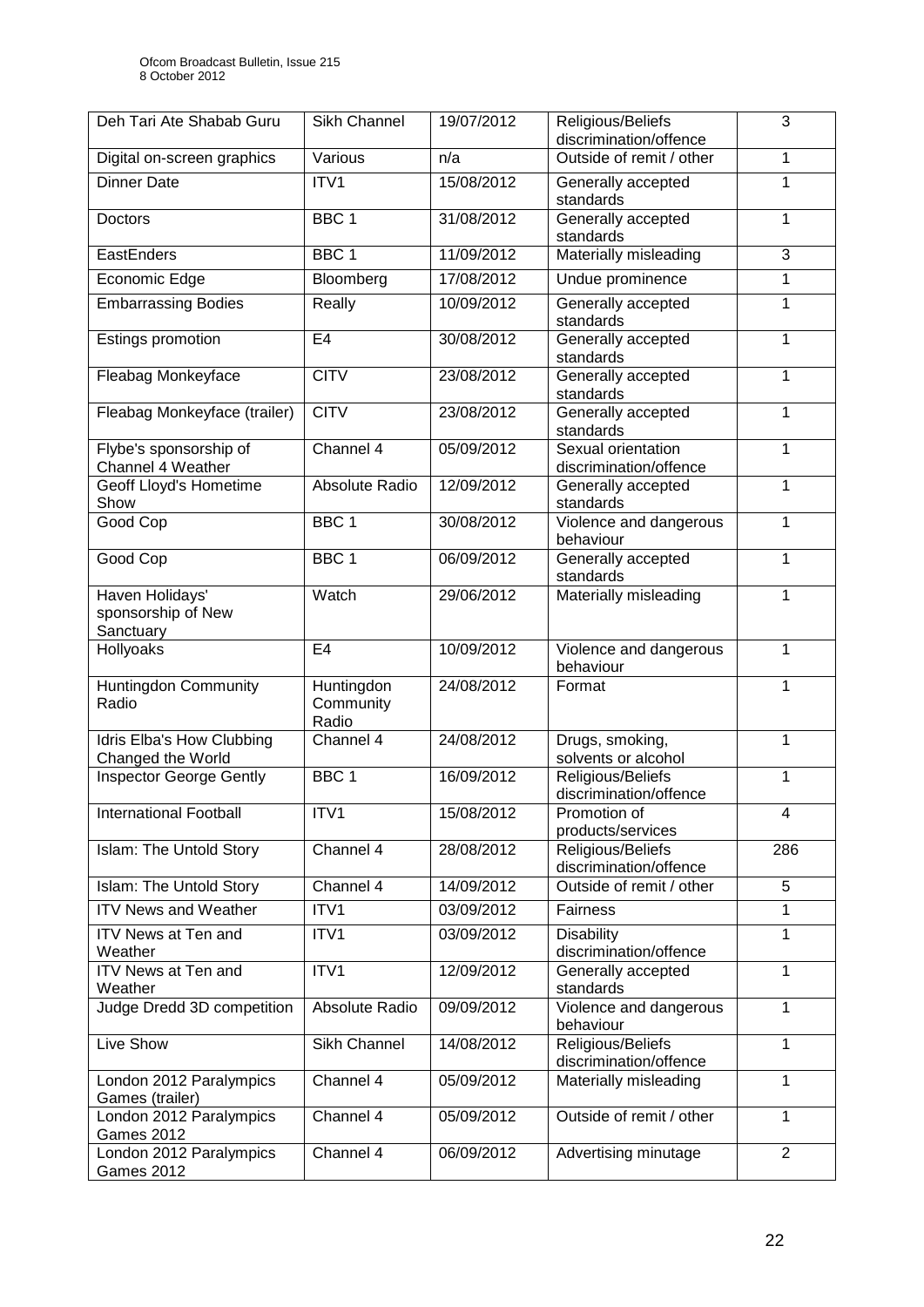| Deh Tari Ate Shabab Guru                              | Sikh Channel                     | 19/07/2012 | Religious/Beliefs<br>discrimination/offence  | 3              |
|-------------------------------------------------------|----------------------------------|------------|----------------------------------------------|----------------|
| Digital on-screen graphics                            | Various                          | n/a        | Outside of remit / other                     | 1              |
| <b>Dinner Date</b>                                    | ITV1                             | 15/08/2012 | Generally accepted<br>standards              | 1              |
| <b>Doctors</b>                                        | BBC <sub>1</sub>                 | 31/08/2012 | Generally accepted<br>standards              | 1              |
| EastEnders                                            | BBC <sub>1</sub>                 | 11/09/2012 | Materially misleading                        | 3              |
| Economic Edge                                         | Bloomberg                        | 17/08/2012 | Undue prominence                             | 1              |
| <b>Embarrassing Bodies</b>                            | Really                           | 10/09/2012 | Generally accepted<br>standards              | 1              |
| Estings promotion                                     | E <sub>4</sub>                   | 30/08/2012 | Generally accepted<br>standards              | 1              |
| Fleabag Monkeyface                                    | <b>CITV</b>                      | 23/08/2012 | Generally accepted<br>standards              | 1              |
| Fleabag Monkeyface (trailer)                          | <b>CITV</b>                      | 23/08/2012 | Generally accepted<br>standards              | 1              |
| Flybe's sponsorship of<br><b>Channel 4 Weather</b>    | Channel 4                        | 05/09/2012 | Sexual orientation<br>discrimination/offence | 1              |
| Geoff Lloyd's Hometime<br>Show                        | Absolute Radio                   | 12/09/2012 | Generally accepted<br>standards              | 1              |
| Good Cop                                              | BBC <sub>1</sub>                 | 30/08/2012 | Violence and dangerous<br>behaviour          | $\mathbf{1}$   |
| Good Cop                                              | BBC <sub>1</sub>                 | 06/09/2012 | Generally accepted<br>standards              | 1              |
| Haven Holidays'<br>sponsorship of New<br>Sanctuary    | Watch                            | 29/06/2012 | Materially misleading                        | 1              |
| <b>Hollyoaks</b>                                      | E <sub>4</sub>                   | 10/09/2012 | Violence and dangerous<br>behaviour          | 1              |
| <b>Huntingdon Community</b><br>Radio                  | Huntingdon<br>Community<br>Radio | 24/08/2012 | Format                                       | 1              |
| <b>Idris Elba's How Clubbing</b><br>Changed the World | Channel 4                        | 24/08/2012 | Drugs, smoking,<br>solvents or alcohol       | 1              |
| <b>Inspector George Gently</b>                        | BBC <sub>1</sub>                 | 16/09/2012 | Religious/Beliefs<br>discrimination/offence  | 1              |
| <b>International Football</b>                         | ITV1                             | 15/08/2012 | Promotion of<br>products/services            | 4              |
| Islam: The Untold Story                               | Channel 4                        | 28/08/2012 | Religious/Beliefs<br>discrimination/offence  | 286            |
| Islam: The Untold Story                               | Channel 4                        | 14/09/2012 | Outside of remit / other                     | 5              |
| <b>ITV News and Weather</b>                           | ITV1                             | 03/09/2012 | Fairness                                     | 1              |
| ITV News at Ten and<br>Weather                        | ITV1                             | 03/09/2012 | <b>Disability</b><br>discrimination/offence  | $\mathbf{1}$   |
| ITV News at Ten and<br>Weather                        | ITV1                             | 12/09/2012 | Generally accepted<br>standards              | 1              |
| Judge Dredd 3D competition                            | Absolute Radio                   | 09/09/2012 | Violence and dangerous<br>behaviour          | $\mathbf{1}$   |
| Live Show                                             | Sikh Channel                     | 14/08/2012 | Religious/Beliefs<br>discrimination/offence  | 1              |
| London 2012 Paralympics<br>Games (trailer)            | Channel 4                        | 05/09/2012 | Materially misleading                        | 1              |
| London 2012 Paralympics<br><b>Games 2012</b>          | Channel 4                        | 05/09/2012 | Outside of remit / other                     | 1              |
| London 2012 Paralympics<br><b>Games 2012</b>          | Channel 4                        | 06/09/2012 | Advertising minutage                         | $\overline{2}$ |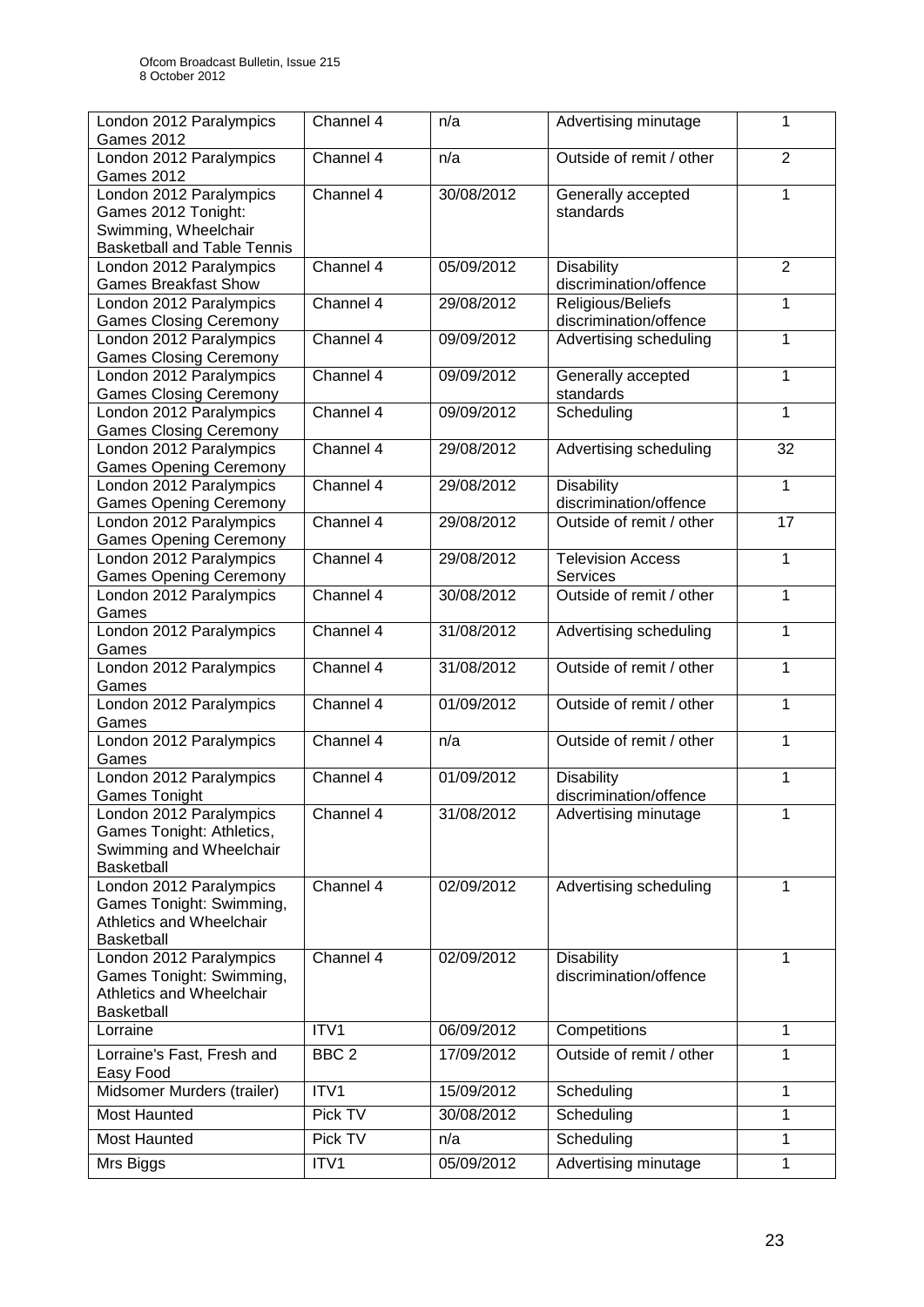| London 2012 Paralympics                                  | Channel 4        | n/a        | Advertising minutage     | 1              |
|----------------------------------------------------------|------------------|------------|--------------------------|----------------|
| <b>Games 2012</b><br>London 2012 Paralympics             | Channel 4        | n/a        | Outside of remit / other | $\overline{2}$ |
| <b>Games 2012</b>                                        |                  |            |                          |                |
| London 2012 Paralympics                                  | Channel 4        | 30/08/2012 | Generally accepted       | 1              |
| Games 2012 Tonight:                                      |                  |            | standards                |                |
| Swimming, Wheelchair                                     |                  |            |                          |                |
| <b>Basketball and Table Tennis</b>                       |                  |            |                          |                |
| London 2012 Paralympics                                  | Channel 4        | 05/09/2012 | <b>Disability</b>        | $\overline{2}$ |
| <b>Games Breakfast Show</b>                              |                  |            | discrimination/offence   |                |
| London 2012 Paralympics                                  | Channel 4        | 29/08/2012 | Religious/Beliefs        | 1              |
| <b>Games Closing Ceremony</b>                            |                  |            | discrimination/offence   |                |
| London 2012 Paralympics                                  | Channel 4        | 09/09/2012 | Advertising scheduling   | 1              |
| <b>Games Closing Ceremony</b>                            |                  |            |                          |                |
| London 2012 Paralympics                                  | Channel 4        | 09/09/2012 | Generally accepted       | 1              |
| <b>Games Closing Ceremony</b>                            |                  |            | standards                |                |
| London 2012 Paralympics<br><b>Games Closing Ceremony</b> | Channel 4        | 09/09/2012 | Scheduling               | 1              |
| London 2012 Paralympics                                  | Channel 4        | 29/08/2012 | Advertising scheduling   | 32             |
| <b>Games Opening Ceremony</b>                            |                  |            |                          |                |
| London 2012 Paralympics                                  | Channel 4        | 29/08/2012 | <b>Disability</b>        | $\mathbf{1}$   |
| <b>Games Opening Ceremony</b>                            |                  |            | discrimination/offence   |                |
| London 2012 Paralympics                                  | Channel 4        | 29/08/2012 | Outside of remit / other | 17             |
| <b>Games Opening Ceremony</b>                            |                  |            |                          |                |
| London 2012 Paralympics                                  | Channel 4        | 29/08/2012 | <b>Television Access</b> | $\mathbf{1}$   |
| <b>Games Opening Ceremony</b>                            |                  |            | Services                 |                |
| London 2012 Paralympics                                  | Channel 4        | 30/08/2012 | Outside of remit / other | 1              |
| Games                                                    |                  |            |                          |                |
| London 2012 Paralympics                                  | Channel 4        | 31/08/2012 | Advertising scheduling   | 1              |
| Games                                                    |                  |            |                          |                |
| London 2012 Paralympics                                  | Channel 4        | 31/08/2012 | Outside of remit / other | $\mathbf{1}$   |
| Games                                                    |                  |            |                          |                |
| London 2012 Paralympics                                  | Channel 4        | 01/09/2012 | Outside of remit / other | 1              |
| Games                                                    |                  |            |                          |                |
| London 2012 Paralympics                                  | Channel 4        | n/a        | Outside of remit / other | 1              |
| Games                                                    |                  |            |                          |                |
| London 2012 Paralympics                                  | Channel 4        | 01/09/2012 | <b>Disability</b>        | 1              |
| <b>Games Tonight</b>                                     |                  |            | discrimination/offence   |                |
| London 2012 Paralympics<br>Games Tonight: Athletics,     | Channel 4        | 31/08/2012 | Advertising minutage     | 1              |
| Swimming and Wheelchair                                  |                  |            |                          |                |
| Basketball                                               |                  |            |                          |                |
| London 2012 Paralympics                                  | Channel 4        | 02/09/2012 | Advertising scheduling   | 1              |
| Games Tonight: Swimming,                                 |                  |            |                          |                |
| Athletics and Wheelchair                                 |                  |            |                          |                |
| Basketball                                               |                  |            |                          |                |
| London 2012 Paralympics                                  | Channel 4        | 02/09/2012 | <b>Disability</b>        | 1              |
| Games Tonight: Swimming,                                 |                  |            | discrimination/offence   |                |
| Athletics and Wheelchair                                 |                  |            |                          |                |
| <b>Basketball</b>                                        |                  |            |                          |                |
| Lorraine                                                 | ITV1             | 06/09/2012 | Competitions             | 1              |
| Lorraine's Fast, Fresh and                               | BBC <sub>2</sub> | 17/09/2012 | Outside of remit / other | $\mathbf{1}$   |
| Easy Food                                                |                  |            |                          |                |
| Midsomer Murders (trailer)                               | ITV1             | 15/09/2012 | Scheduling               | 1              |
| Most Haunted                                             | Pick TV          | 30/08/2012 | Scheduling               | 1              |
| Most Haunted                                             | Pick TV          | n/a        | Scheduling               | 1              |
|                                                          |                  |            |                          |                |
| Mrs Biggs                                                | ITV1             | 05/09/2012 | Advertising minutage     | 1              |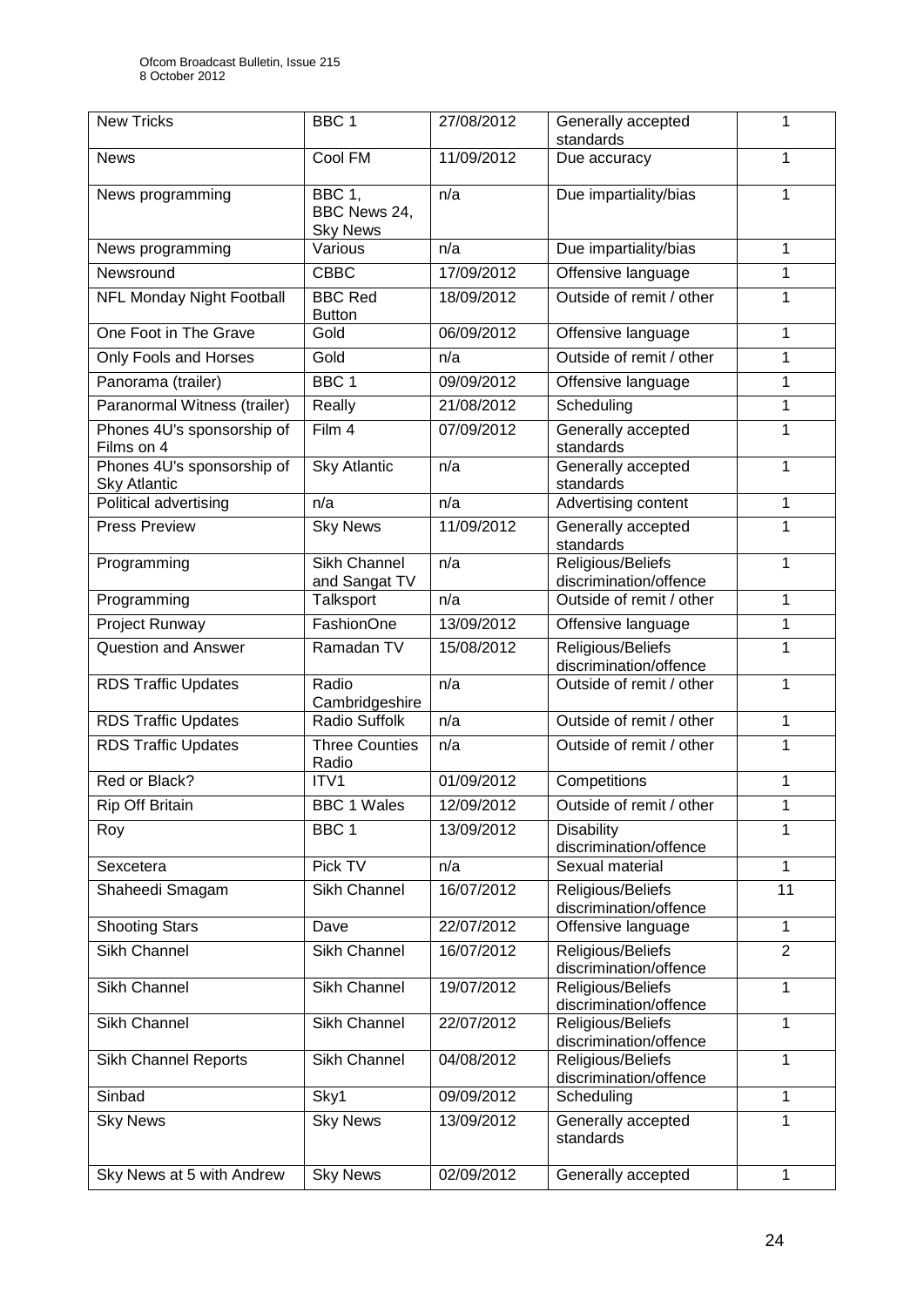| <b>New Tricks</b>                                 | BBC <sub>1</sub>                                 | 27/08/2012 | Generally accepted<br>standards             | 1              |
|---------------------------------------------------|--------------------------------------------------|------------|---------------------------------------------|----------------|
| <b>News</b>                                       | Cool FM                                          | 11/09/2012 | Due accuracy                                | 1              |
| News programming                                  | <b>BBC 1,</b><br>BBC News 24,<br><b>Sky News</b> | n/a        | Due impartiality/bias                       | 1              |
| News programming                                  | Various                                          | n/a        | Due impartiality/bias                       | 1              |
| Newsround                                         | <b>CBBC</b>                                      | 17/09/2012 | Offensive language                          | 1              |
| <b>NFL Monday Night Football</b>                  | <b>BBC Red</b><br><b>Button</b>                  | 18/09/2012 | Outside of remit / other                    | 1              |
| One Foot in The Grave                             | Gold                                             | 06/09/2012 | Offensive language                          | 1              |
| Only Fools and Horses                             | Gold                                             | n/a        | Outside of remit / other                    | 1              |
| Panorama (trailer)                                | BBC <sub>1</sub>                                 | 09/09/2012 | Offensive language                          | 1              |
| Paranormal Witness (trailer)                      | Really                                           | 21/08/2012 | Scheduling                                  | 1              |
| Phones 4U's sponsorship of<br>Films on 4          | Film 4                                           | 07/09/2012 | Generally accepted<br>standards             | 1              |
| Phones 4U's sponsorship of<br><b>Sky Atlantic</b> | <b>Sky Atlantic</b>                              | n/a        | Generally accepted<br>standards             | 1              |
| Political advertising                             | n/a                                              | n/a        | Advertising content                         | 1              |
| <b>Press Preview</b>                              | <b>Sky News</b>                                  | 11/09/2012 | Generally accepted<br>standards             | 1              |
| Programming                                       | <b>Sikh Channel</b><br>and Sangat TV             | n/a        | Religious/Beliefs<br>discrimination/offence | 1              |
| Programming                                       | Talksport                                        | n/a        | Outside of remit / other                    | 1              |
| Project Runway                                    | FashionOne                                       | 13/09/2012 | Offensive language                          | 1              |
| <b>Question and Answer</b>                        | Ramadan TV                                       | 15/08/2012 | Religious/Beliefs<br>discrimination/offence | 1              |
| <b>RDS Traffic Updates</b>                        | Radio<br>Cambridgeshire                          | n/a        | Outside of remit / other                    | 1              |
| <b>RDS Traffic Updates</b>                        | <b>Radio Suffolk</b>                             | n/a        | Outside of remit / other                    | 1              |
| <b>RDS Traffic Updates</b>                        | <b>Three Counties</b><br>Radio                   | n/a        | Outside of remit / other                    | 1              |
| Red or Black?                                     | ITV1                                             | 01/09/2012 | Competitions                                | 1              |
| <b>Rip Off Britain</b>                            | <b>BBC 1 Wales</b>                               | 12/09/2012 | Outside of remit / other                    | 1              |
| Roy                                               | BBC 1                                            | 13/09/2012 | <b>Disability</b><br>discrimination/offence | 1              |
| Sexcetera                                         | Pick TV                                          | n/a        | Sexual material                             | 1              |
| Shaheedi Smagam                                   | Sikh Channel                                     | 16/07/2012 | Religious/Beliefs<br>discrimination/offence | 11             |
| <b>Shooting Stars</b>                             | Dave                                             | 22/07/2012 | Offensive language                          | 1              |
| Sikh Channel                                      | Sikh Channel                                     | 16/07/2012 | Religious/Beliefs<br>discrimination/offence | $\overline{2}$ |
| Sikh Channel                                      | Sikh Channel                                     | 19/07/2012 | Religious/Beliefs<br>discrimination/offence | 1              |
| Sikh Channel                                      | Sikh Channel                                     | 22/07/2012 | Religious/Beliefs<br>discrimination/offence | 1              |
| <b>Sikh Channel Reports</b>                       | Sikh Channel                                     | 04/08/2012 | Religious/Beliefs<br>discrimination/offence | 1              |
| Sinbad                                            | Sky1                                             | 09/09/2012 | Scheduling                                  | 1              |
| <b>Sky News</b>                                   | <b>Sky News</b>                                  | 13/09/2012 | Generally accepted<br>standards             | 1              |
| Sky News at 5 with Andrew                         | <b>Sky News</b>                                  | 02/09/2012 | Generally accepted                          | 1              |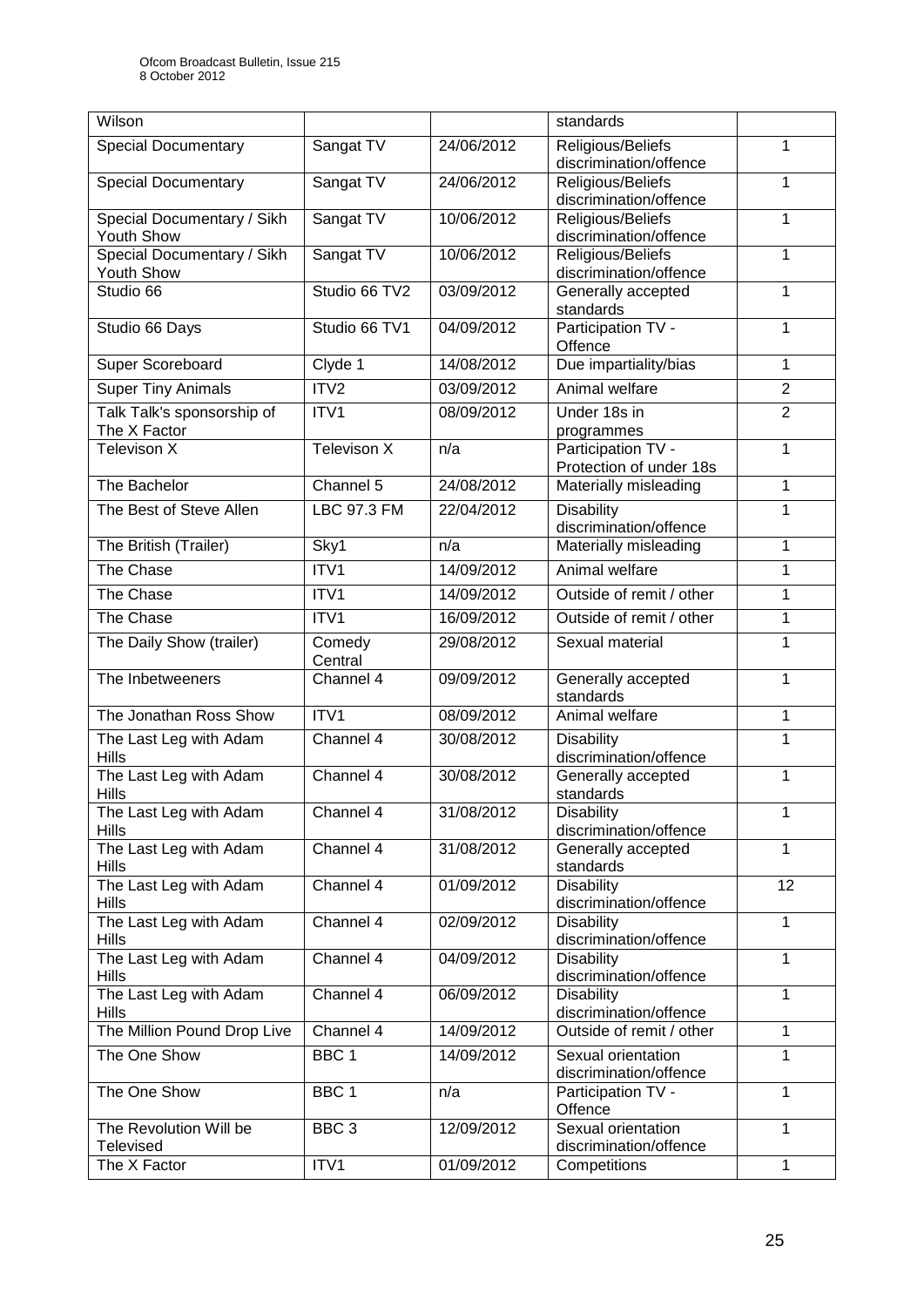| Wilson                                   |                    |            | standards                                       |                |
|------------------------------------------|--------------------|------------|-------------------------------------------------|----------------|
| <b>Special Documentary</b>               | Sangat TV          | 24/06/2012 | Religious/Beliefs                               | 1              |
|                                          |                    |            | discrimination/offence                          |                |
| <b>Special Documentary</b>               | Sangat TV          | 24/06/2012 | Religious/Beliefs                               | 1              |
|                                          |                    |            | discrimination/offence                          |                |
| Special Documentary / Sikh               | Sangat TV          | 10/06/2012 | Religious/Beliefs                               | 1              |
| Youth Show                               |                    | 10/06/2012 | discrimination/offence                          | 1              |
| Special Documentary / Sikh<br>Youth Show | Sangat TV          |            | Religious/Beliefs<br>discrimination/offence     |                |
| Studio 66                                | Studio 66 TV2      | 03/09/2012 | Generally accepted                              | 1              |
|                                          |                    |            | standards                                       |                |
| Studio 66 Days                           | Studio 66 TV1      | 04/09/2012 | Participation TV -                              | 1              |
|                                          |                    |            | Offence                                         |                |
| Super Scoreboard                         | Clyde 1            | 14/08/2012 | Due impartiality/bias                           | 1              |
| <b>Super Tiny Animals</b>                | ITV2               | 03/09/2012 | Animal welfare                                  | $\overline{2}$ |
| Talk Talk's sponsorship of               | ITV1               | 08/09/2012 | Under 18s in                                    | $\overline{2}$ |
| The X Factor                             |                    |            | programmes                                      |                |
| <b>Televison X</b>                       | Televison X        | n/a        | Participation TV -                              | 1              |
|                                          | Channel 5          |            | Protection of under 18s                         |                |
| The Bachelor                             |                    | 24/08/2012 | Materially misleading                           | 1              |
| The Best of Steve Allen                  | <b>LBC 97.3 FM</b> | 22/04/2012 | <b>Disability</b>                               | 1              |
|                                          |                    | n/a        | discrimination/offence<br>Materially misleading | 1              |
| The British (Trailer)                    | Sky1               |            |                                                 |                |
| The Chase                                | ITV1               | 14/09/2012 | Animal welfare                                  | 1              |
| The Chase                                | ITV1               | 14/09/2012 | Outside of remit / other                        | 1              |
| The Chase                                | ITV1               | 16/09/2012 | Outside of remit / other                        | 1              |
| The Daily Show (trailer)                 | Comedy<br>Central  | 29/08/2012 | Sexual material                                 | 1              |
| The Inbetweeners                         | Channel 4          | 09/09/2012 | Generally accepted                              | 1              |
|                                          |                    |            | standards                                       |                |
| The Jonathan Ross Show                   | ITV1               | 08/09/2012 | Animal welfare                                  | 1              |
| The Last Leg with Adam                   | Channel 4          | 30/08/2012 | <b>Disability</b>                               | 1              |
| <b>Hills</b>                             | Channel 4          | 30/08/2012 | discrimination/offence                          | 1              |
| The Last Leg with Adam<br><b>Hills</b>   |                    |            | Generally accepted<br>standards                 |                |
| The Last Leg with Adam                   | Channel 4          | 31/08/2012 | <b>Disability</b>                               | 1              |
| <b>Hills</b>                             |                    |            | discrimination/offence                          |                |
| The Last Leg with Adam                   | Channel 4          | 31/08/2012 | Generally accepted                              | 1              |
| <b>Hills</b>                             |                    |            | standards                                       |                |
| The Last Leg with Adam                   | Channel 4          | 01/09/2012 | <b>Disability</b>                               | 12             |
| Hills<br>The Last Leg with Adam          | Channel 4          | 02/09/2012 | discrimination/offence<br><b>Disability</b>     | 1              |
| <b>Hills</b>                             |                    |            | discrimination/offence                          |                |
| The Last Leg with Adam                   | Channel 4          | 04/09/2012 | <b>Disability</b>                               | 1              |
| <b>Hills</b>                             |                    |            | discrimination/offence                          |                |
| The Last Leg with Adam                   | Channel 4          | 06/09/2012 | Disability                                      | 1              |
| <b>Hills</b>                             |                    |            | discrimination/offence                          |                |
| The Million Pound Drop Live              | Channel 4          | 14/09/2012 | Outside of remit / other                        | 1              |
| The One Show                             | BBC <sub>1</sub>   | 14/09/2012 | Sexual orientation<br>discrimination/offence    | $\mathbf{1}$   |
| The One Show                             | BBC <sub>1</sub>   | n/a        | Participation TV -<br>Offence                   | 1              |
| The Revolution Will be                   | BBC <sub>3</sub>   | 12/09/2012 | Sexual orientation                              | 1              |
| <b>Televised</b>                         |                    |            | discrimination/offence                          |                |
| The X Factor                             | ITV1               | 01/09/2012 | Competitions                                    | 1              |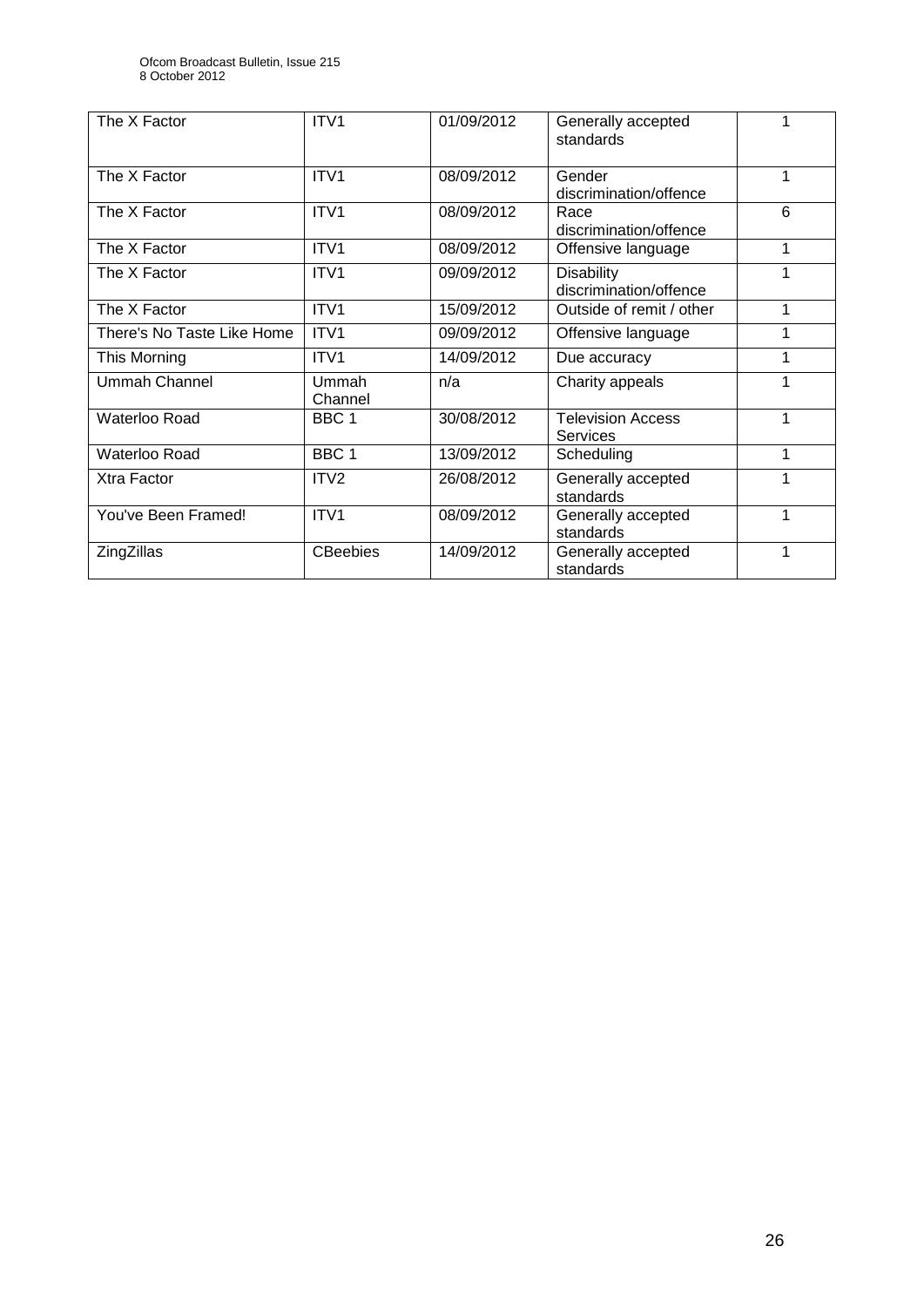| The X Factor               | ITV1             | 01/09/2012 | Generally accepted<br>standards             |   |
|----------------------------|------------------|------------|---------------------------------------------|---|
| The X Factor               | ITV <sub>1</sub> | 08/09/2012 | Gender<br>discrimination/offence            | 1 |
| The X Factor               | ITV <sub>1</sub> | 08/09/2012 | Race<br>discrimination/offence              | 6 |
| The X Factor               | ITV1             | 08/09/2012 | Offensive language                          | 1 |
| The X Factor               | ITV1             | 09/09/2012 | <b>Disability</b><br>discrimination/offence | 1 |
| The X Factor               | ITV1             | 15/09/2012 | Outside of remit / other                    | 1 |
| There's No Taste Like Home | ITV <sub>1</sub> | 09/09/2012 | Offensive language                          | 1 |
| This Morning               | ITV1             | 14/09/2012 | Due accuracy                                | 1 |
| Ummah Channel              | Ummah<br>Channel | n/a        | Charity appeals                             | 1 |
| Waterloo Road              | BBC <sub>1</sub> | 30/08/2012 | <b>Television Access</b><br><b>Services</b> | 1 |
| Waterloo Road              | BBC <sub>1</sub> | 13/09/2012 | Scheduling                                  | 1 |
| Xtra Factor                | ITV <sub>2</sub> | 26/08/2012 | Generally accepted<br>standards             | 1 |
| You've Been Framed!        | ITV <sub>1</sub> | 08/09/2012 | Generally accepted<br>standards             | 1 |
| ZingZillas                 | <b>CBeebies</b>  | 14/09/2012 | Generally accepted<br>standards             | 1 |